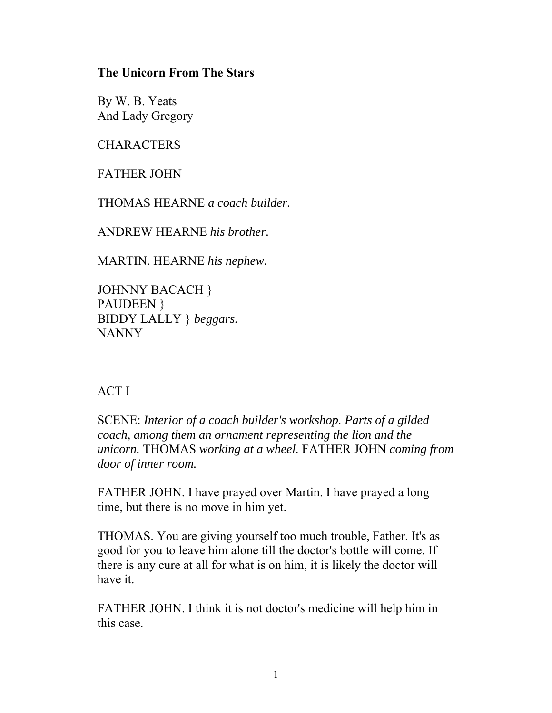## **The Unicorn From The Stars**

By W. B. Yeats And Lady Gregory

**CHARACTERS** 

FATHER JOHN

THOMAS HEARNE *a coach builder.*

ANDREW HEARNE *his brother.*

MARTIN. HEARNE *his nephew.*

JOHNNY BACACH } PAUDEEN } BIDDY LALLY } *beggars.* NANNY

## ACT I

SCENE: *Interior of a coach builder's workshop. Parts of a gilded coach, among them an ornament representing the lion and the unicorn.* THOMAS *working at a wheel.* FATHER JOHN *coming from door of inner room.*

FATHER JOHN. I have prayed over Martin. I have prayed a long time, but there is no move in him yet.

THOMAS. You are giving yourself too much trouble, Father. It's as good for you to leave him alone till the doctor's bottle will come. If there is any cure at all for what is on him, it is likely the doctor will have it.

FATHER JOHN. I think it is not doctor's medicine will help him in this case.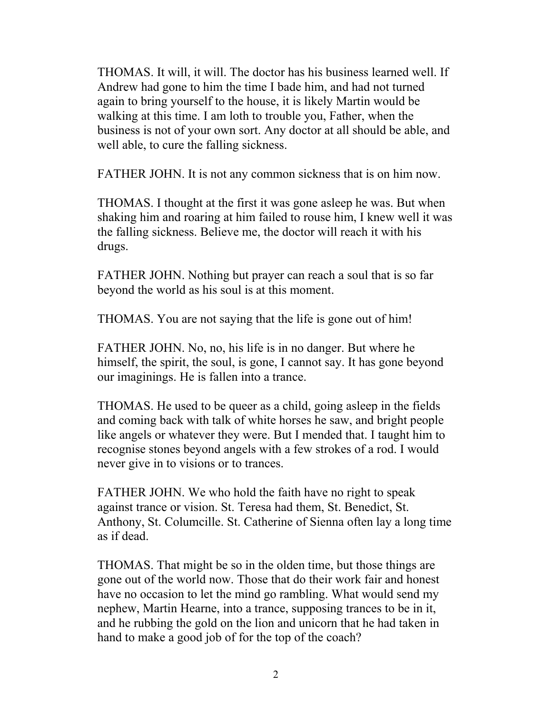THOMAS. It will, it will. The doctor has his business learned well. If Andrew had gone to him the time I bade him, and had not turned again to bring yourself to the house, it is likely Martin would be walking at this time. I am loth to trouble you, Father, when the business is not of your own sort. Any doctor at all should be able, and well able, to cure the falling sickness.

FATHER JOHN. It is not any common sickness that is on him now.

THOMAS. I thought at the first it was gone asleep he was. But when shaking him and roaring at him failed to rouse him, I knew well it was the falling sickness. Believe me, the doctor will reach it with his drugs.

FATHER JOHN. Nothing but prayer can reach a soul that is so far beyond the world as his soul is at this moment.

THOMAS. You are not saying that the life is gone out of him!

FATHER JOHN. No, no, his life is in no danger. But where he himself, the spirit, the soul, is gone, I cannot say. It has gone beyond our imaginings. He is fallen into a trance.

THOMAS. He used to be queer as a child, going asleep in the fields and coming back with talk of white horses he saw, and bright people like angels or whatever they were. But I mended that. I taught him to recognise stones beyond angels with a few strokes of a rod. I would never give in to visions or to trances.

FATHER JOHN. We who hold the faith have no right to speak against trance or vision. St. Teresa had them, St. Benedict, St. Anthony, St. Columcille. St. Catherine of Sienna often lay a long time as if dead.

THOMAS. That might be so in the olden time, but those things are gone out of the world now. Those that do their work fair and honest have no occasion to let the mind go rambling. What would send my nephew, Martin Hearne, into a trance, supposing trances to be in it, and he rubbing the gold on the lion and unicorn that he had taken in hand to make a good job of for the top of the coach?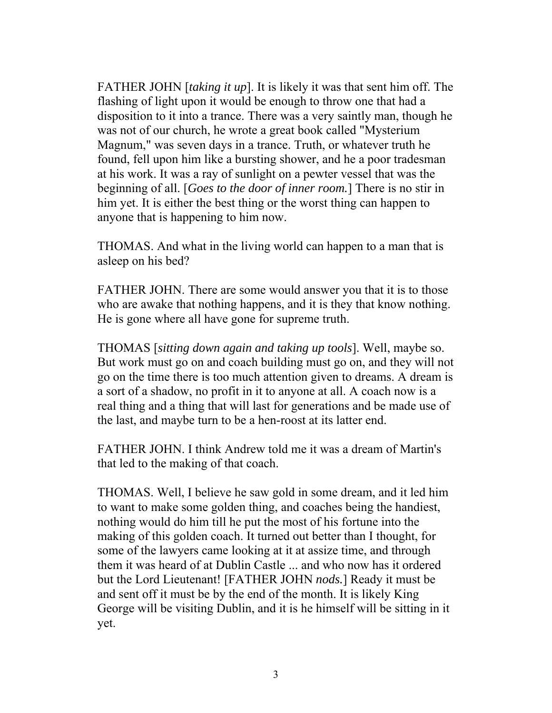FATHER JOHN [*taking it up*]. It is likely it was that sent him off. The flashing of light upon it would be enough to throw one that had a disposition to it into a trance. There was a very saintly man, though he was not of our church, he wrote a great book called "Mysterium Magnum," was seven days in a trance. Truth, or whatever truth he found, fell upon him like a bursting shower, and he a poor tradesman at his work. It was a ray of sunlight on a pewter vessel that was the beginning of all. [*Goes to the door of inner room.*] There is no stir in him yet. It is either the best thing or the worst thing can happen to anyone that is happening to him now.

THOMAS. And what in the living world can happen to a man that is asleep on his bed?

FATHER JOHN. There are some would answer you that it is to those who are awake that nothing happens, and it is they that know nothing. He is gone where all have gone for supreme truth.

THOMAS [*sitting down again and taking up tools*]. Well, maybe so. But work must go on and coach building must go on, and they will not go on the time there is too much attention given to dreams. A dream is a sort of a shadow, no profit in it to anyone at all. A coach now is a real thing and a thing that will last for generations and be made use of the last, and maybe turn to be a hen-roost at its latter end.

FATHER JOHN. I think Andrew told me it was a dream of Martin's that led to the making of that coach.

THOMAS. Well, I believe he saw gold in some dream, and it led him to want to make some golden thing, and coaches being the handiest, nothing would do him till he put the most of his fortune into the making of this golden coach. It turned out better than I thought, for some of the lawyers came looking at it at assize time, and through them it was heard of at Dublin Castle ... and who now has it ordered but the Lord Lieutenant! [FATHER JOHN *nods.*] Ready it must be and sent off it must be by the end of the month. It is likely King George will be visiting Dublin, and it is he himself will be sitting in it yet.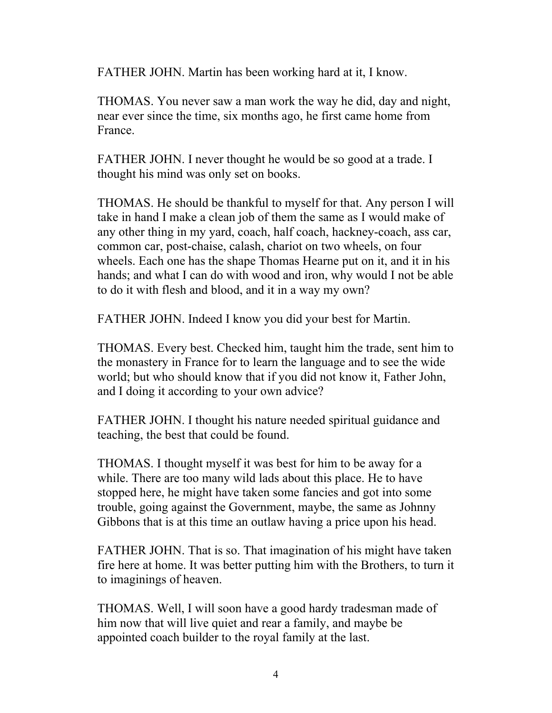FATHER JOHN. Martin has been working hard at it, I know.

THOMAS. You never saw a man work the way he did, day and night, near ever since the time, six months ago, he first came home from France.

FATHER JOHN. I never thought he would be so good at a trade. I thought his mind was only set on books.

THOMAS. He should be thankful to myself for that. Any person I will take in hand I make a clean job of them the same as I would make of any other thing in my yard, coach, half coach, hackney-coach, ass car, common car, post-chaise, calash, chariot on two wheels, on four wheels. Each one has the shape Thomas Hearne put on it, and it in his hands; and what I can do with wood and iron, why would I not be able to do it with flesh and blood, and it in a way my own?

FATHER JOHN. Indeed I know you did your best for Martin.

THOMAS. Every best. Checked him, taught him the trade, sent him to the monastery in France for to learn the language and to see the wide world; but who should know that if you did not know it, Father John, and I doing it according to your own advice?

FATHER JOHN. I thought his nature needed spiritual guidance and teaching, the best that could be found.

THOMAS. I thought myself it was best for him to be away for a while. There are too many wild lads about this place. He to have stopped here, he might have taken some fancies and got into some trouble, going against the Government, maybe, the same as Johnny Gibbons that is at this time an outlaw having a price upon his head.

FATHER JOHN. That is so. That imagination of his might have taken fire here at home. It was better putting him with the Brothers, to turn it to imaginings of heaven.

THOMAS. Well, I will soon have a good hardy tradesman made of him now that will live quiet and rear a family, and maybe be appointed coach builder to the royal family at the last.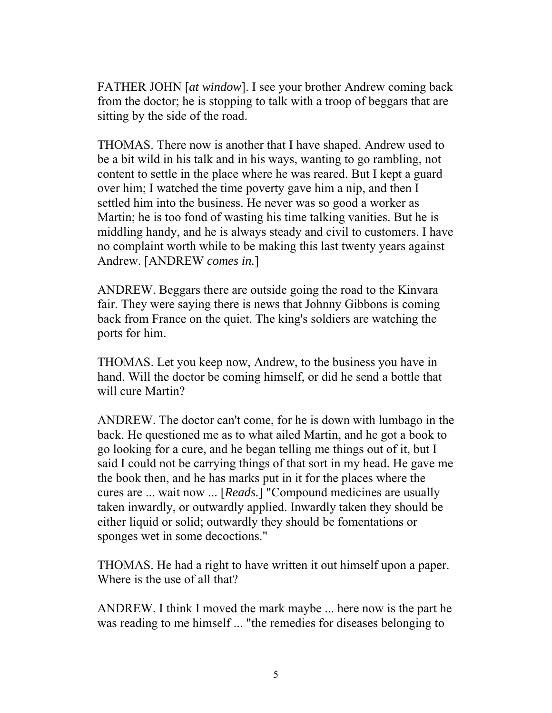FATHER JOHN [*at window*]. I see your brother Andrew coming back from the doctor; he is stopping to talk with a troop of beggars that are sitting by the side of the road.

THOMAS. There now is another that I have shaped. Andrew used to be a bit wild in his talk and in his ways, wanting to go rambling, not content to settle in the place where he was reared. But I kept a guard over him; I watched the time poverty gave him a nip, and then I settled him into the business. He never was so good a worker as Martin; he is too fond of wasting his time talking vanities. But he is middling handy, and he is always steady and civil to customers. I have no complaint worth while to be making this last twenty years against Andrew. [ANDREW *comes in.*]

ANDREW. Beggars there are outside going the road to the Kinvara fair. They were saying there is news that Johnny Gibbons is coming back from France on the quiet. The king's soldiers are watching the ports for him.

THOMAS. Let you keep now, Andrew, to the business you have in hand. Will the doctor be coming himself, or did he send a bottle that will cure Martin?

ANDREW. The doctor can't come, for he is down with lumbago in the back. He questioned me as to what ailed Martin, and he got a book to go looking for a cure, and he began telling me things out of it, but I said I could not be carrying things of that sort in my head. He gave me the book then, and he has marks put in it for the places where the cures are ... wait now ... [*Reads.*] "Compound medicines are usually taken inwardly, or outwardly applied. Inwardly taken they should be either liquid or solid; outwardly they should be fomentations or sponges wet in some decoctions."

THOMAS. He had a right to have written it out himself upon a paper. Where is the use of all that?

ANDREW. I think I moved the mark maybe ... here now is the part he was reading to me himself ... "the remedies for diseases belonging to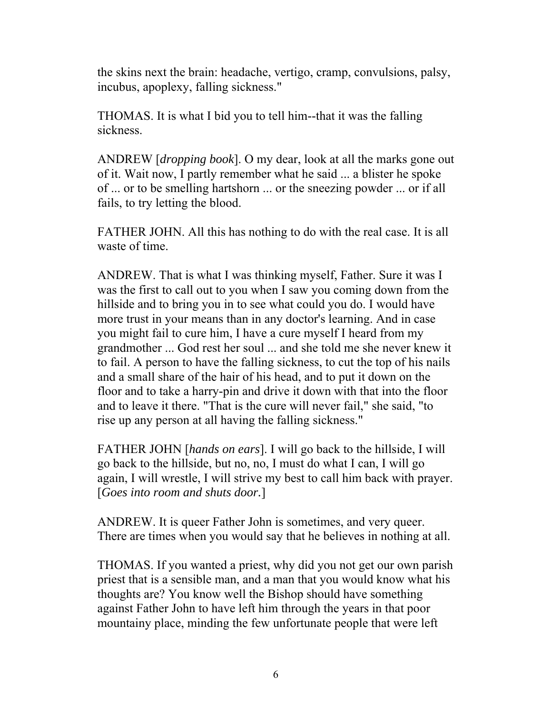the skins next the brain: headache, vertigo, cramp, convulsions, palsy, incubus, apoplexy, falling sickness."

THOMAS. It is what I bid you to tell him--that it was the falling sickness.

ANDREW [*dropping book*]. O my dear, look at all the marks gone out of it. Wait now, I partly remember what he said ... a blister he spoke of ... or to be smelling hartshorn ... or the sneezing powder ... or if all fails, to try letting the blood.

FATHER JOHN. All this has nothing to do with the real case. It is all waste of time.

ANDREW. That is what I was thinking myself, Father. Sure it was I was the first to call out to you when I saw you coming down from the hillside and to bring you in to see what could you do. I would have more trust in your means than in any doctor's learning. And in case you might fail to cure him, I have a cure myself I heard from my grandmother ... God rest her soul ... and she told me she never knew it to fail. A person to have the falling sickness, to cut the top of his nails and a small share of the hair of his head, and to put it down on the floor and to take a harry-pin and drive it down with that into the floor and to leave it there. "That is the cure will never fail," she said, "to rise up any person at all having the falling sickness."

FATHER JOHN [*hands on ears*]. I will go back to the hillside, I will go back to the hillside, but no, no, I must do what I can, I will go again, I will wrestle, I will strive my best to call him back with prayer. [*Goes into room and shuts door.*]

ANDREW. It is queer Father John is sometimes, and very queer. There are times when you would say that he believes in nothing at all.

THOMAS. If you wanted a priest, why did you not get our own parish priest that is a sensible man, and a man that you would know what his thoughts are? You know well the Bishop should have something against Father John to have left him through the years in that poor mountainy place, minding the few unfortunate people that were left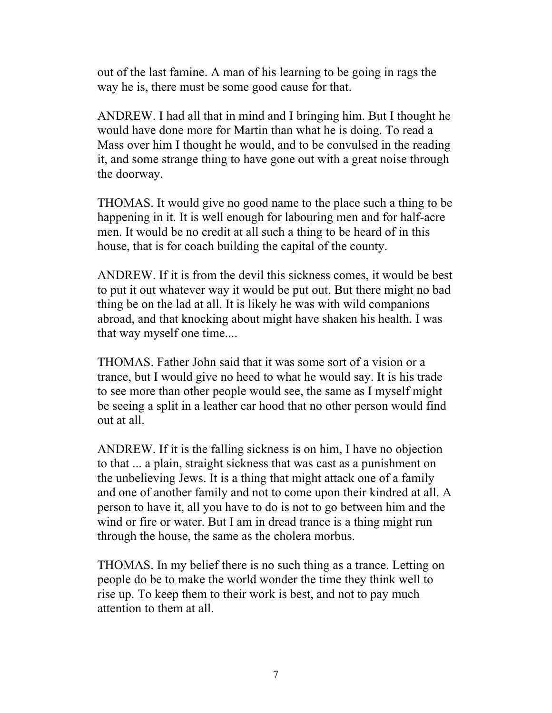out of the last famine. A man of his learning to be going in rags the way he is, there must be some good cause for that.

ANDREW. I had all that in mind and I bringing him. But I thought he would have done more for Martin than what he is doing. To read a Mass over him I thought he would, and to be convulsed in the reading it, and some strange thing to have gone out with a great noise through the doorway.

THOMAS. It would give no good name to the place such a thing to be happening in it. It is well enough for labouring men and for half-acre men. It would be no credit at all such a thing to be heard of in this house, that is for coach building the capital of the county.

ANDREW. If it is from the devil this sickness comes, it would be best to put it out whatever way it would be put out. But there might no bad thing be on the lad at all. It is likely he was with wild companions abroad, and that knocking about might have shaken his health. I was that way myself one time....

THOMAS. Father John said that it was some sort of a vision or a trance, but I would give no heed to what he would say. It is his trade to see more than other people would see, the same as I myself might be seeing a split in a leather car hood that no other person would find out at all.

ANDREW. If it is the falling sickness is on him, I have no objection to that ... a plain, straight sickness that was cast as a punishment on the unbelieving Jews. It is a thing that might attack one of a family and one of another family and not to come upon their kindred at all. A person to have it, all you have to do is not to go between him and the wind or fire or water. But I am in dread trance is a thing might run through the house, the same as the cholera morbus.

THOMAS. In my belief there is no such thing as a trance. Letting on people do be to make the world wonder the time they think well to rise up. To keep them to their work is best, and not to pay much attention to them at all.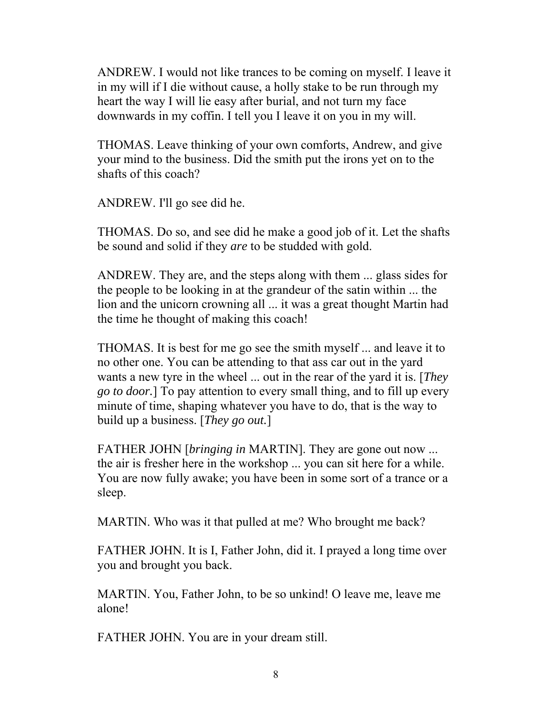ANDREW. I would not like trances to be coming on myself. I leave it in my will if I die without cause, a holly stake to be run through my heart the way I will lie easy after burial, and not turn my face downwards in my coffin. I tell you I leave it on you in my will.

THOMAS. Leave thinking of your own comforts, Andrew, and give your mind to the business. Did the smith put the irons yet on to the shafts of this coach?

ANDREW. I'll go see did he.

THOMAS. Do so, and see did he make a good job of it. Let the shafts be sound and solid if they *are* to be studded with gold.

ANDREW. They are, and the steps along with them ... glass sides for the people to be looking in at the grandeur of the satin within ... the lion and the unicorn crowning all ... it was a great thought Martin had the time he thought of making this coach!

THOMAS. It is best for me go see the smith myself ... and leave it to no other one. You can be attending to that ass car out in the yard wants a new tyre in the wheel ... out in the rear of the yard it is. [*They go to door.*] To pay attention to every small thing, and to fill up every minute of time, shaping whatever you have to do, that is the way to build up a business. [*They go out.*]

FATHER JOHN [*bringing in* MARTIN]. They are gone out now ... the air is fresher here in the workshop ... you can sit here for a while. You are now fully awake; you have been in some sort of a trance or a sleep.

MARTIN. Who was it that pulled at me? Who brought me back?

FATHER JOHN. It is I, Father John, did it. I prayed a long time over you and brought you back.

MARTIN. You, Father John, to be so unkind! O leave me, leave me alone!

FATHER JOHN. You are in your dream still.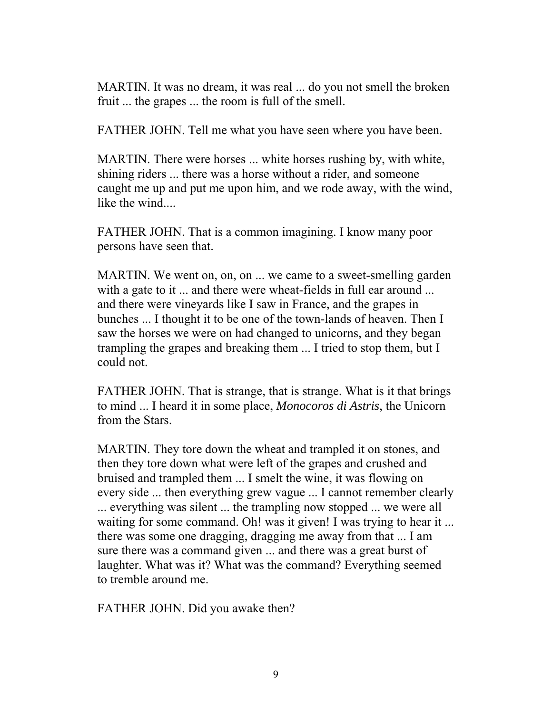MARTIN. It was no dream, it was real ... do you not smell the broken fruit ... the grapes ... the room is full of the smell.

FATHER JOHN. Tell me what you have seen where you have been.

MARTIN. There were horses ... white horses rushing by, with white, shining riders ... there was a horse without a rider, and someone caught me up and put me upon him, and we rode away, with the wind, like the wind...

FATHER JOHN. That is a common imagining. I know many poor persons have seen that.

MARTIN. We went on, on, on ... we came to a sweet-smelling garden with a gate to it ... and there were wheat-fields in full ear around ... and there were vineyards like I saw in France, and the grapes in bunches ... I thought it to be one of the town-lands of heaven. Then I saw the horses we were on had changed to unicorns, and they began trampling the grapes and breaking them ... I tried to stop them, but I could not.

FATHER JOHN. That is strange, that is strange. What is it that brings to mind ... I heard it in some place, *Monocoros di Astris*, the Unicorn from the Stars.

MARTIN. They tore down the wheat and trampled it on stones, and then they tore down what were left of the grapes and crushed and bruised and trampled them ... I smelt the wine, it was flowing on every side ... then everything grew vague ... I cannot remember clearly ... everything was silent ... the trampling now stopped ... we were all waiting for some command. Oh! was it given! I was trying to hear it ... there was some one dragging, dragging me away from that ... I am sure there was a command given ... and there was a great burst of laughter. What was it? What was the command? Everything seemed to tremble around me.

FATHER JOHN. Did you awake then?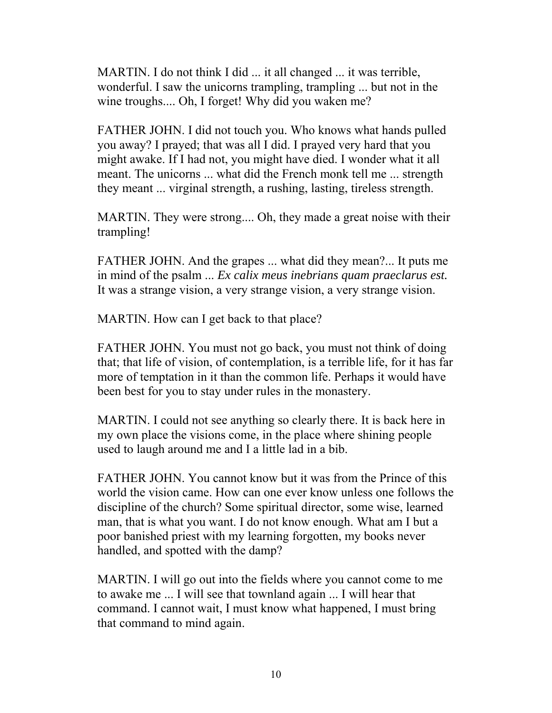MARTIN. I do not think I did ... it all changed ... it was terrible, wonderful. I saw the unicorns trampling, trampling ... but not in the wine troughs.... Oh, I forget! Why did you waken me?

FATHER JOHN. I did not touch you. Who knows what hands pulled you away? I prayed; that was all I did. I prayed very hard that you might awake. If I had not, you might have died. I wonder what it all meant. The unicorns ... what did the French monk tell me ... strength they meant ... virginal strength, a rushing, lasting, tireless strength.

MARTIN. They were strong.... Oh, they made a great noise with their trampling!

FATHER JOHN. And the grapes ... what did they mean?... It puts me in mind of the psalm ... *Ex calix meus inebrians quam praeclarus est.* It was a strange vision, a very strange vision, a very strange vision.

MARTIN. How can I get back to that place?

FATHER JOHN. You must not go back, you must not think of doing that; that life of vision, of contemplation, is a terrible life, for it has far more of temptation in it than the common life. Perhaps it would have been best for you to stay under rules in the monastery.

MARTIN. I could not see anything so clearly there. It is back here in my own place the visions come, in the place where shining people used to laugh around me and I a little lad in a bib.

FATHER JOHN. You cannot know but it was from the Prince of this world the vision came. How can one ever know unless one follows the discipline of the church? Some spiritual director, some wise, learned man, that is what you want. I do not know enough. What am I but a poor banished priest with my learning forgotten, my books never handled, and spotted with the damp?

MARTIN. I will go out into the fields where you cannot come to me to awake me ... I will see that townland again ... I will hear that command. I cannot wait, I must know what happened, I must bring that command to mind again.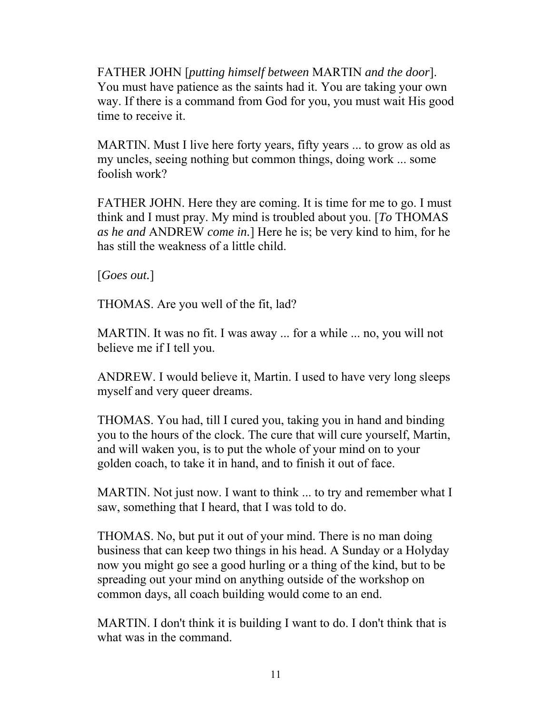FATHER JOHN [*putting himself between* MARTIN *and the door*]. You must have patience as the saints had it. You are taking your own way. If there is a command from God for you, you must wait His good time to receive it.

MARTIN. Must I live here forty years, fifty years ... to grow as old as my uncles, seeing nothing but common things, doing work ... some foolish work?

FATHER JOHN. Here they are coming. It is time for me to go. I must think and I must pray. My mind is troubled about you. [*To* THOMAS *as he and* ANDREW *come in.*] Here he is; be very kind to him, for he has still the weakness of a little child.

[*Goes out.*]

THOMAS. Are you well of the fit, lad?

MARTIN. It was no fit. I was away ... for a while ... no, you will not believe me if I tell you.

ANDREW. I would believe it, Martin. I used to have very long sleeps myself and very queer dreams.

THOMAS. You had, till I cured you, taking you in hand and binding you to the hours of the clock. The cure that will cure yourself, Martin, and will waken you, is to put the whole of your mind on to your golden coach, to take it in hand, and to finish it out of face.

MARTIN. Not just now. I want to think ... to try and remember what I saw, something that I heard, that I was told to do.

THOMAS. No, but put it out of your mind. There is no man doing business that can keep two things in his head. A Sunday or a Holyday now you might go see a good hurling or a thing of the kind, but to be spreading out your mind on anything outside of the workshop on common days, all coach building would come to an end.

MARTIN. I don't think it is building I want to do. I don't think that is what was in the command.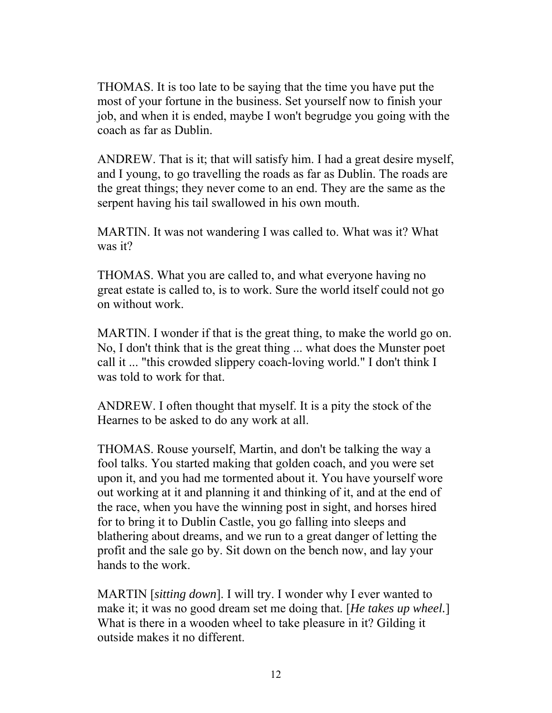THOMAS. It is too late to be saying that the time you have put the most of your fortune in the business. Set yourself now to finish your job, and when it is ended, maybe I won't begrudge you going with the coach as far as Dublin.

ANDREW. That is it; that will satisfy him. I had a great desire myself, and I young, to go travelling the roads as far as Dublin. The roads are the great things; they never come to an end. They are the same as the serpent having his tail swallowed in his own mouth.

MARTIN. It was not wandering I was called to. What was it? What was it?

THOMAS. What you are called to, and what everyone having no great estate is called to, is to work. Sure the world itself could not go on without work.

MARTIN. I wonder if that is the great thing, to make the world go on. No, I don't think that is the great thing ... what does the Munster poet call it ... "this crowded slippery coach-loving world." I don't think I was told to work for that.

ANDREW. I often thought that myself. It is a pity the stock of the Hearnes to be asked to do any work at all.

THOMAS. Rouse yourself, Martin, and don't be talking the way a fool talks. You started making that golden coach, and you were set upon it, and you had me tormented about it. You have yourself wore out working at it and planning it and thinking of it, and at the end of the race, when you have the winning post in sight, and horses hired for to bring it to Dublin Castle, you go falling into sleeps and blathering about dreams, and we run to a great danger of letting the profit and the sale go by. Sit down on the bench now, and lay your hands to the work.

MARTIN [*sitting down*]. I will try. I wonder why I ever wanted to make it; it was no good dream set me doing that. [*He takes up wheel.*] What is there in a wooden wheel to take pleasure in it? Gilding it outside makes it no different.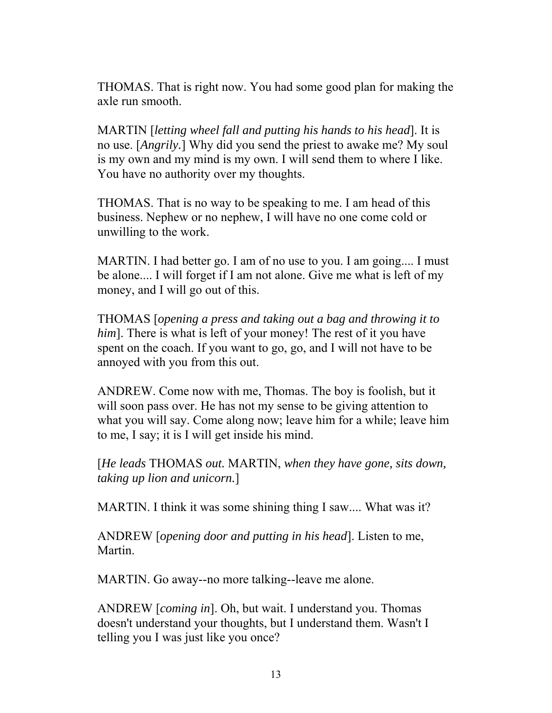THOMAS. That is right now. You had some good plan for making the axle run smooth.

MARTIN [*letting wheel fall and putting his hands to his head*]. It is no use. [*Angrily.*] Why did you send the priest to awake me? My soul is my own and my mind is my own. I will send them to where I like. You have no authority over my thoughts.

THOMAS. That is no way to be speaking to me. I am head of this business. Nephew or no nephew, I will have no one come cold or unwilling to the work.

MARTIN. I had better go. I am of no use to you. I am going.... I must be alone.... I will forget if I am not alone. Give me what is left of my money, and I will go out of this.

THOMAS [*opening a press and taking out a bag and throwing it to him*]. There is what is left of your money! The rest of it you have spent on the coach. If you want to go, go, and I will not have to be annoyed with you from this out.

ANDREW. Come now with me, Thomas. The boy is foolish, but it will soon pass over. He has not my sense to be giving attention to what you will say. Come along now; leave him for a while; leave him to me, I say; it is I will get inside his mind.

[*He leads* THOMAS *out.* MARTIN, *when they have gone, sits down, taking up lion and unicorn.*]

MARTIN. I think it was some shining thing I saw.... What was it?

ANDREW [*opening door and putting in his head*]. Listen to me, Martin.

MARTIN. Go away--no more talking--leave me alone.

ANDREW [*coming in*]. Oh, but wait. I understand you. Thomas doesn't understand your thoughts, but I understand them. Wasn't I telling you I was just like you once?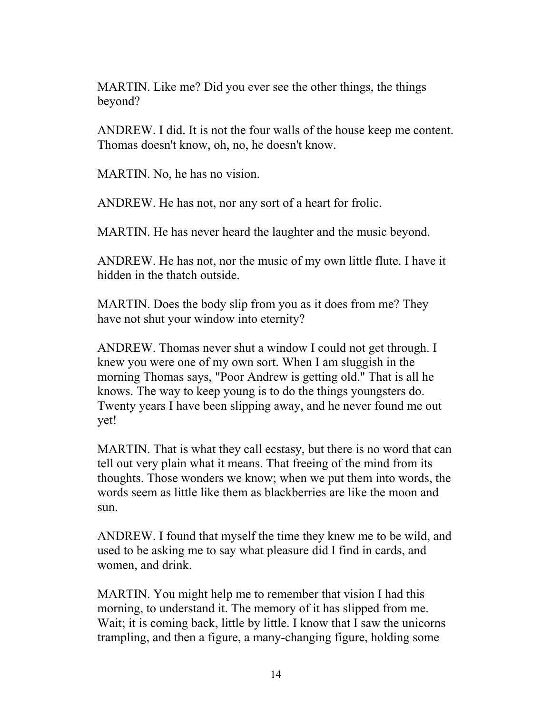MARTIN. Like me? Did you ever see the other things, the things beyond?

ANDREW. I did. It is not the four walls of the house keep me content. Thomas doesn't know, oh, no, he doesn't know.

MARTIN. No, he has no vision.

ANDREW. He has not, nor any sort of a heart for frolic.

MARTIN. He has never heard the laughter and the music beyond.

ANDREW. He has not, nor the music of my own little flute. I have it hidden in the thatch outside.

MARTIN. Does the body slip from you as it does from me? They have not shut your window into eternity?

ANDREW. Thomas never shut a window I could not get through. I knew you were one of my own sort. When I am sluggish in the morning Thomas says, "Poor Andrew is getting old." That is all he knows. The way to keep young is to do the things youngsters do. Twenty years I have been slipping away, and he never found me out yet!

MARTIN. That is what they call ecstasy, but there is no word that can tell out very plain what it means. That freeing of the mind from its thoughts. Those wonders we know; when we put them into words, the words seem as little like them as blackberries are like the moon and sun.

ANDREW. I found that myself the time they knew me to be wild, and used to be asking me to say what pleasure did I find in cards, and women, and drink.

MARTIN. You might help me to remember that vision I had this morning, to understand it. The memory of it has slipped from me. Wait; it is coming back, little by little. I know that I saw the unicorns trampling, and then a figure, a many-changing figure, holding some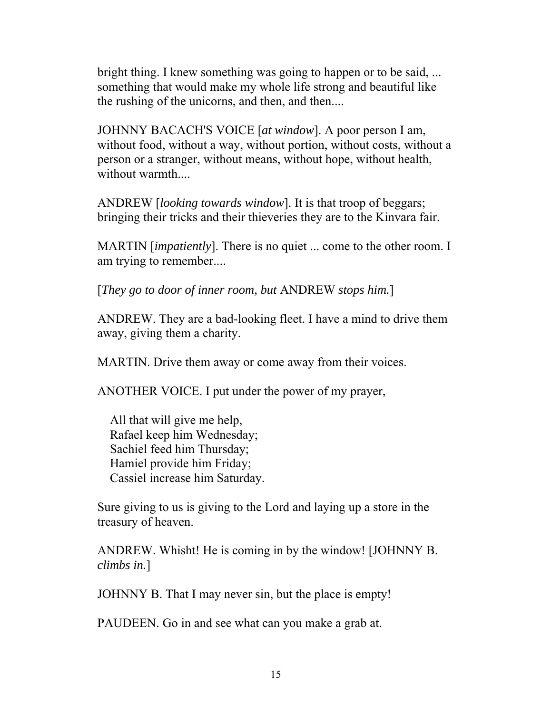bright thing. I knew something was going to happen or to be said, ... something that would make my whole life strong and beautiful like the rushing of the unicorns, and then, and then....

JOHNNY BACACH'S VOICE [*at window*]. A poor person I am, without food, without a way, without portion, without costs, without a person or a stranger, without means, without hope, without health, without warmth...

ANDREW [*looking towards window*]. It is that troop of beggars; bringing their tricks and their thieveries they are to the Kinvara fair.

MARTIN [*impatiently*]. There is no quiet ... come to the other room. I am trying to remember....

[*They go to door of inner room, but* ANDREW *stops him.*]

ANDREW. They are a bad-looking fleet. I have a mind to drive them away, giving them a charity.

MARTIN. Drive them away or come away from their voices.

ANOTHER VOICE. I put under the power of my prayer,

 All that will give me help, Rafael keep him Wednesday; Sachiel feed him Thursday; Hamiel provide him Friday; Cassiel increase him Saturday.

Sure giving to us is giving to the Lord and laying up a store in the treasury of heaven.

ANDREW. Whisht! He is coming in by the window! [JOHNNY B. *climbs in.*]

JOHNNY B. That I may never sin, but the place is empty!

PAUDEEN. Go in and see what can you make a grab at.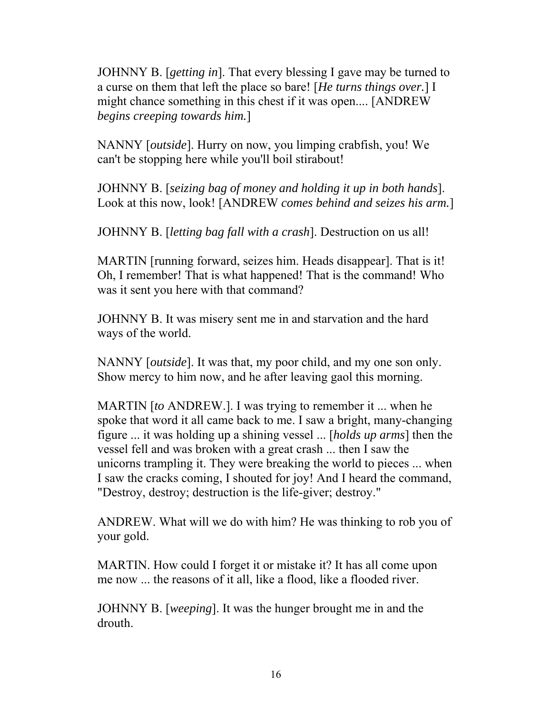JOHNNY B. [*getting in*]. That every blessing I gave may be turned to a curse on them that left the place so bare! [*He turns things over.*] I might chance something in this chest if it was open.... [ANDREW *begins creeping towards him.*]

NANNY [*outside*]. Hurry on now, you limping crabfish, you! We can't be stopping here while you'll boil stirabout!

JOHNNY B. [*seizing bag of money and holding it up in both hands*]. Look at this now, look! [ANDREW *comes behind and seizes his arm.*]

JOHNNY B. [*letting bag fall with a crash*]. Destruction on us all!

MARTIN [running forward, seizes him. Heads disappear]. That is it! Oh, I remember! That is what happened! That is the command! Who was it sent you here with that command?

JOHNNY B. It was misery sent me in and starvation and the hard ways of the world.

NANNY [*outside*]. It was that, my poor child, and my one son only. Show mercy to him now, and he after leaving gaol this morning.

MARTIN [*to* ANDREW.]. I was trying to remember it ... when he spoke that word it all came back to me. I saw a bright, many-changing figure ... it was holding up a shining vessel ... [*holds up arms*] then the vessel fell and was broken with a great crash ... then I saw the unicorns trampling it. They were breaking the world to pieces ... when I saw the cracks coming, I shouted for joy! And I heard the command, "Destroy, destroy; destruction is the life-giver; destroy."

ANDREW. What will we do with him? He was thinking to rob you of your gold.

MARTIN. How could I forget it or mistake it? It has all come upon me now ... the reasons of it all, like a flood, like a flooded river.

JOHNNY B. [*weeping*]. It was the hunger brought me in and the drouth.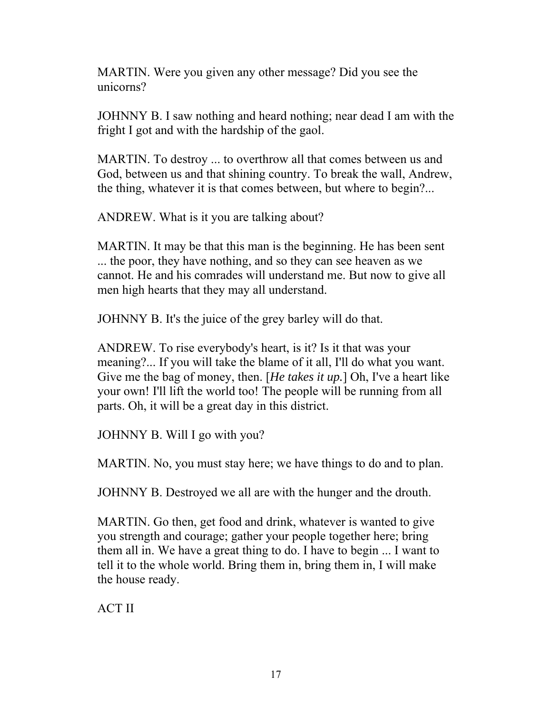MARTIN. Were you given any other message? Did you see the unicorns?

JOHNNY B. I saw nothing and heard nothing; near dead I am with the fright I got and with the hardship of the gaol.

MARTIN. To destroy ... to overthrow all that comes between us and God, between us and that shining country. To break the wall, Andrew, the thing, whatever it is that comes between, but where to begin?...

ANDREW. What is it you are talking about?

MARTIN. It may be that this man is the beginning. He has been sent ... the poor, they have nothing, and so they can see heaven as we cannot. He and his comrades will understand me. But now to give all men high hearts that they may all understand.

JOHNNY B. It's the juice of the grey barley will do that.

ANDREW. To rise everybody's heart, is it? Is it that was your meaning?... If you will take the blame of it all, I'll do what you want. Give me the bag of money, then. [*He takes it up.*] Oh, I've a heart like your own! I'll lift the world too! The people will be running from all parts. Oh, it will be a great day in this district.

JOHNNY B. Will I go with you?

MARTIN. No, you must stay here; we have things to do and to plan.

JOHNNY B. Destroyed we all are with the hunger and the drouth.

MARTIN. Go then, get food and drink, whatever is wanted to give you strength and courage; gather your people together here; bring them all in. We have a great thing to do. I have to begin ... I want to tell it to the whole world. Bring them in, bring them in, I will make the house ready.

ACT II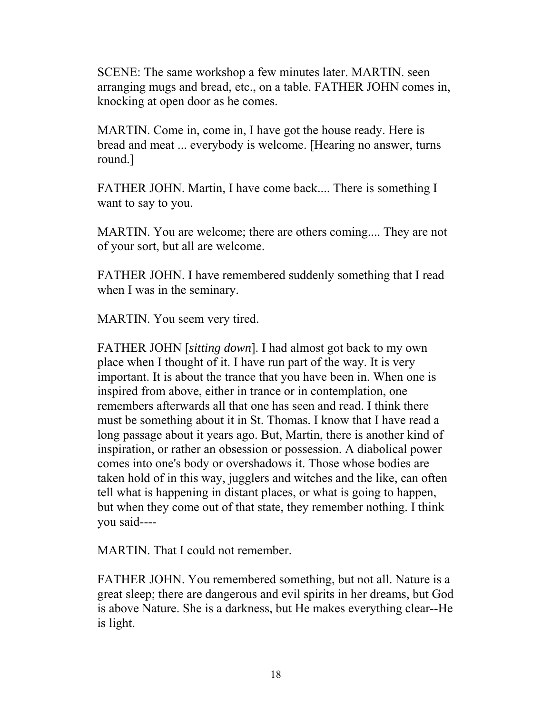SCENE: The same workshop a few minutes later. MARTIN. seen arranging mugs and bread, etc., on a table. FATHER JOHN comes in, knocking at open door as he comes.

MARTIN. Come in, come in, I have got the house ready. Here is bread and meat ... everybody is welcome. [Hearing no answer, turns round.]

FATHER JOHN. Martin, I have come back.... There is something I want to say to you.

MARTIN. You are welcome; there are others coming.... They are not of your sort, but all are welcome.

FATHER JOHN. I have remembered suddenly something that I read when I was in the seminary.

MARTIN. You seem very tired.

FATHER JOHN [*sitting down*]. I had almost got back to my own place when I thought of it. I have run part of the way. It is very important. It is about the trance that you have been in. When one is inspired from above, either in trance or in contemplation, one remembers afterwards all that one has seen and read. I think there must be something about it in St. Thomas. I know that I have read a long passage about it years ago. But, Martin, there is another kind of inspiration, or rather an obsession or possession. A diabolical power comes into one's body or overshadows it. Those whose bodies are taken hold of in this way, jugglers and witches and the like, can often tell what is happening in distant places, or what is going to happen, but when they come out of that state, they remember nothing. I think you said----

MARTIN. That I could not remember.

FATHER JOHN. You remembered something, but not all. Nature is a great sleep; there are dangerous and evil spirits in her dreams, but God is above Nature. She is a darkness, but He makes everything clear--He is light.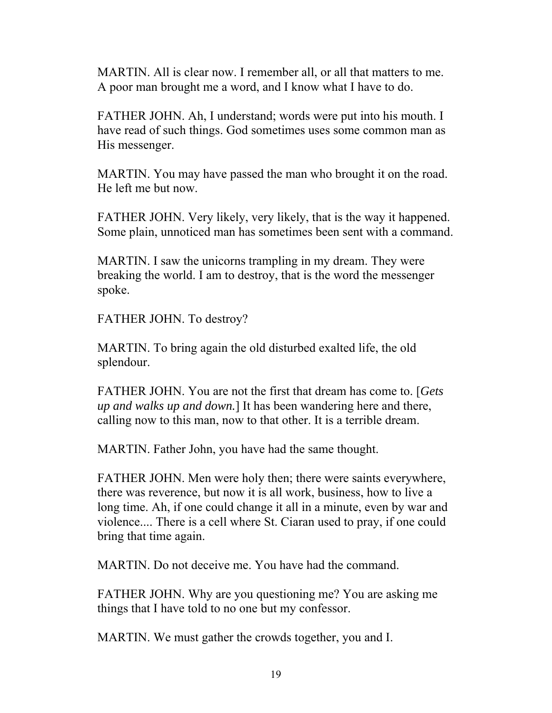MARTIN. All is clear now. I remember all, or all that matters to me. A poor man brought me a word, and I know what I have to do.

FATHER JOHN. Ah, I understand; words were put into his mouth. I have read of such things. God sometimes uses some common man as His messenger.

MARTIN. You may have passed the man who brought it on the road. He left me but now.

FATHER JOHN. Very likely, very likely, that is the way it happened. Some plain, unnoticed man has sometimes been sent with a command.

MARTIN. I saw the unicorns trampling in my dream. They were breaking the world. I am to destroy, that is the word the messenger spoke.

FATHER JOHN. To destroy?

MARTIN. To bring again the old disturbed exalted life, the old splendour.

FATHER JOHN. You are not the first that dream has come to. [*Gets up and walks up and down.*] It has been wandering here and there, calling now to this man, now to that other. It is a terrible dream.

MARTIN. Father John, you have had the same thought.

FATHER JOHN. Men were holy then; there were saints everywhere, there was reverence, but now it is all work, business, how to live a long time. Ah, if one could change it all in a minute, even by war and violence.... There is a cell where St. Ciaran used to pray, if one could bring that time again.

MARTIN. Do not deceive me. You have had the command.

FATHER JOHN. Why are you questioning me? You are asking me things that I have told to no one but my confessor.

MARTIN. We must gather the crowds together, you and I.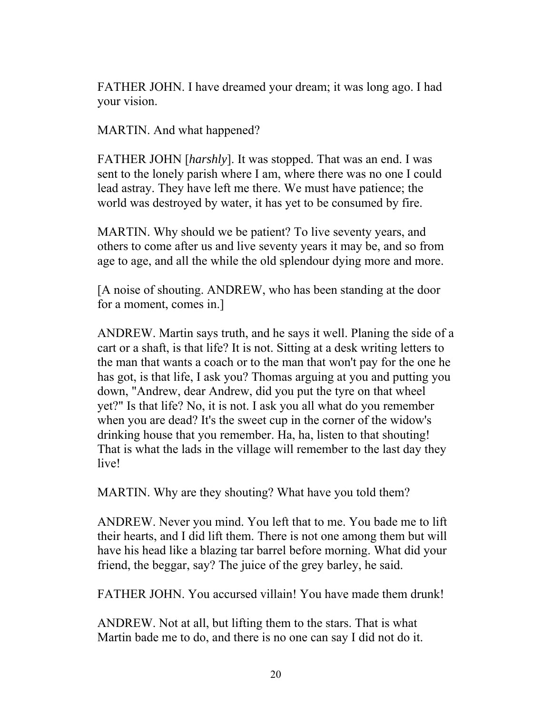FATHER JOHN. I have dreamed your dream; it was long ago. I had your vision.

MARTIN. And what happened?

FATHER JOHN [*harshly*]. It was stopped. That was an end. I was sent to the lonely parish where I am, where there was no one I could lead astray. They have left me there. We must have patience; the world was destroyed by water, it has yet to be consumed by fire.

MARTIN. Why should we be patient? To live seventy years, and others to come after us and live seventy years it may be, and so from age to age, and all the while the old splendour dying more and more.

[A noise of shouting. ANDREW, who has been standing at the door for a moment, comes in.]

ANDREW. Martin says truth, and he says it well. Planing the side of a cart or a shaft, is that life? It is not. Sitting at a desk writing letters to the man that wants a coach or to the man that won't pay for the one he has got, is that life, I ask you? Thomas arguing at you and putting you down, "Andrew, dear Andrew, did you put the tyre on that wheel yet?" Is that life? No, it is not. I ask you all what do you remember when you are dead? It's the sweet cup in the corner of the widow's drinking house that you remember. Ha, ha, listen to that shouting! That is what the lads in the village will remember to the last day they live!

MARTIN. Why are they shouting? What have you told them?

ANDREW. Never you mind. You left that to me. You bade me to lift their hearts, and I did lift them. There is not one among them but will have his head like a blazing tar barrel before morning. What did your friend, the beggar, say? The juice of the grey barley, he said.

FATHER JOHN. You accursed villain! You have made them drunk!

ANDREW. Not at all, but lifting them to the stars. That is what Martin bade me to do, and there is no one can say I did not do it.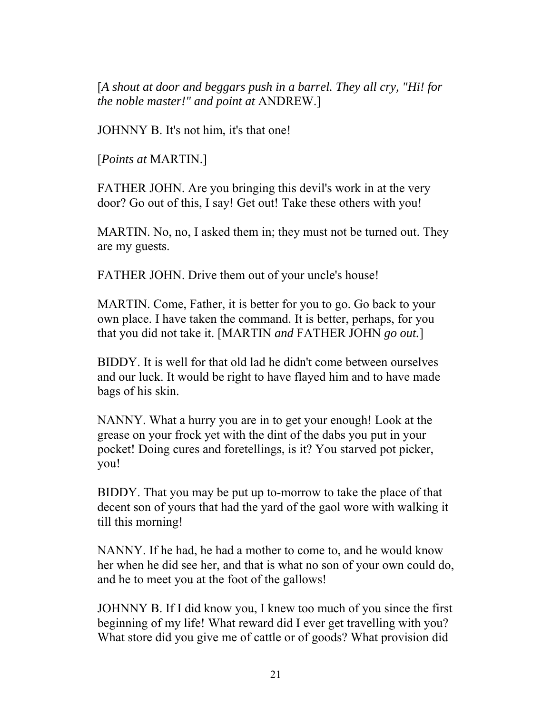[*A shout at door and beggars push in a barrel. They all cry, "Hi! for the noble master!" and point at* ANDREW.]

JOHNNY B. It's not him, it's that one!

[*Points at* MARTIN.]

FATHER JOHN. Are you bringing this devil's work in at the very door? Go out of this, I say! Get out! Take these others with you!

MARTIN. No, no, I asked them in; they must not be turned out. They are my guests.

FATHER JOHN. Drive them out of your uncle's house!

MARTIN. Come, Father, it is better for you to go. Go back to your own place. I have taken the command. It is better, perhaps, for you that you did not take it. [MARTIN *and* FATHER JOHN *go out.*]

BIDDY. It is well for that old lad he didn't come between ourselves and our luck. It would be right to have flayed him and to have made bags of his skin.

NANNY. What a hurry you are in to get your enough! Look at the grease on your frock yet with the dint of the dabs you put in your pocket! Doing cures and foretellings, is it? You starved pot picker, you!

BIDDY. That you may be put up to-morrow to take the place of that decent son of yours that had the yard of the gaol wore with walking it till this morning!

NANNY. If he had, he had a mother to come to, and he would know her when he did see her, and that is what no son of your own could do, and he to meet you at the foot of the gallows!

JOHNNY B. If I did know you, I knew too much of you since the first beginning of my life! What reward did I ever get travelling with you? What store did you give me of cattle or of goods? What provision did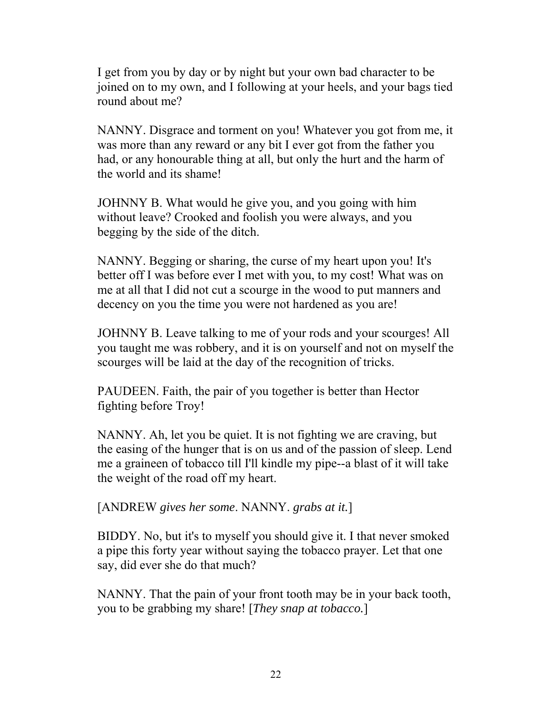I get from you by day or by night but your own bad character to be joined on to my own, and I following at your heels, and your bags tied round about me?

NANNY. Disgrace and torment on you! Whatever you got from me, it was more than any reward or any bit I ever got from the father you had, or any honourable thing at all, but only the hurt and the harm of the world and its shame!

JOHNNY B. What would he give you, and you going with him without leave? Crooked and foolish you were always, and you begging by the side of the ditch.

NANNY. Begging or sharing, the curse of my heart upon you! It's better off I was before ever I met with you, to my cost! What was on me at all that I did not cut a scourge in the wood to put manners and decency on you the time you were not hardened as you are!

JOHNNY B. Leave talking to me of your rods and your scourges! All you taught me was robbery, and it is on yourself and not on myself the scourges will be laid at the day of the recognition of tricks.

PAUDEEN. Faith, the pair of you together is better than Hector fighting before Troy!

NANNY. Ah, let you be quiet. It is not fighting we are craving, but the easing of the hunger that is on us and of the passion of sleep. Lend me a graineen of tobacco till I'll kindle my pipe--a blast of it will take the weight of the road off my heart.

[ANDREW *gives her some*. NANNY. *grabs at it.*]

BIDDY. No, but it's to myself you should give it. I that never smoked a pipe this forty year without saying the tobacco prayer. Let that one say, did ever she do that much?

NANNY. That the pain of your front tooth may be in your back tooth, you to be grabbing my share! [*They snap at tobacco.*]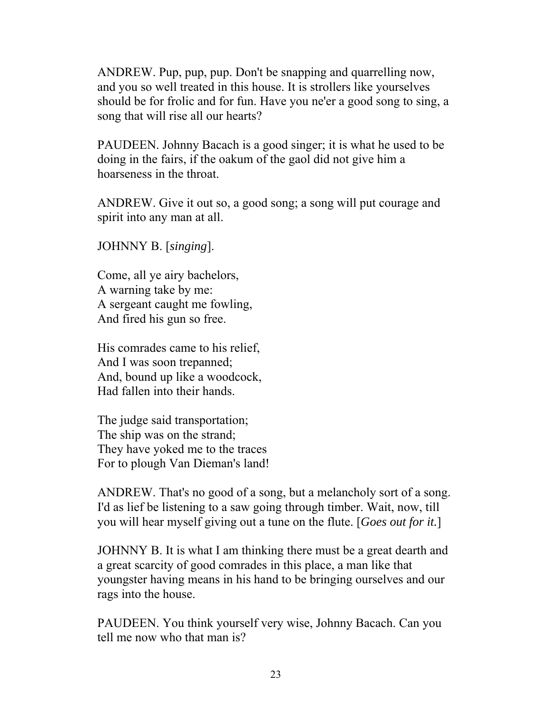ANDREW. Pup, pup, pup. Don't be snapping and quarrelling now, and you so well treated in this house. It is strollers like yourselves should be for frolic and for fun. Have you ne'er a good song to sing, a song that will rise all our hearts?

PAUDEEN. Johnny Bacach is a good singer; it is what he used to be doing in the fairs, if the oakum of the gaol did not give him a hoarseness in the throat.

ANDREW. Give it out so, a good song; a song will put courage and spirit into any man at all.

JOHNNY B. [*singing*].

Come, all ye airy bachelors, A warning take by me: A sergeant caught me fowling, And fired his gun so free.

His comrades came to his relief, And I was soon trepanned; And, bound up like a woodcock, Had fallen into their hands.

The judge said transportation; The ship was on the strand; They have yoked me to the traces For to plough Van Dieman's land!

ANDREW. That's no good of a song, but a melancholy sort of a song. I'd as lief be listening to a saw going through timber. Wait, now, till you will hear myself giving out a tune on the flute. [*Goes out for it.*]

JOHNNY B. It is what I am thinking there must be a great dearth and a great scarcity of good comrades in this place, a man like that youngster having means in his hand to be bringing ourselves and our rags into the house.

PAUDEEN. You think yourself very wise, Johnny Bacach. Can you tell me now who that man is?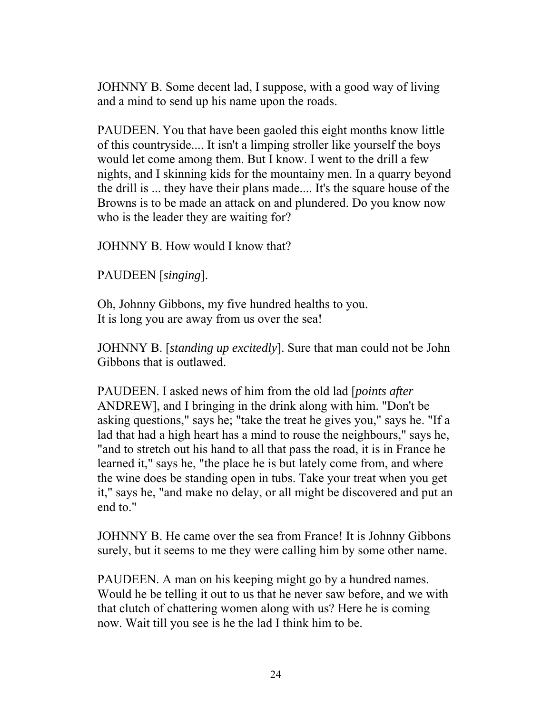JOHNNY B. Some decent lad, I suppose, with a good way of living and a mind to send up his name upon the roads.

PAUDEEN. You that have been gaoled this eight months know little of this countryside.... It isn't a limping stroller like yourself the boys would let come among them. But I know. I went to the drill a few nights, and I skinning kids for the mountainy men. In a quarry beyond the drill is ... they have their plans made.... It's the square house of the Browns is to be made an attack on and plundered. Do you know now who is the leader they are waiting for?

JOHNNY B. How would I know that?

PAUDEEN [*singing*].

Oh, Johnny Gibbons, my five hundred healths to you. It is long you are away from us over the sea!

JOHNNY B. [*standing up excitedly*]. Sure that man could not be John Gibbons that is outlawed.

PAUDEEN. I asked news of him from the old lad [*points after* ANDREW], and I bringing in the drink along with him. "Don't be asking questions," says he; "take the treat he gives you," says he. "If a lad that had a high heart has a mind to rouse the neighbours," says he, "and to stretch out his hand to all that pass the road, it is in France he learned it," says he, "the place he is but lately come from, and where the wine does be standing open in tubs. Take your treat when you get it," says he, "and make no delay, or all might be discovered and put an end to."

JOHNNY B. He came over the sea from France! It is Johnny Gibbons surely, but it seems to me they were calling him by some other name.

PAUDEEN. A man on his keeping might go by a hundred names. Would he be telling it out to us that he never saw before, and we with that clutch of chattering women along with us? Here he is coming now. Wait till you see is he the lad I think him to be.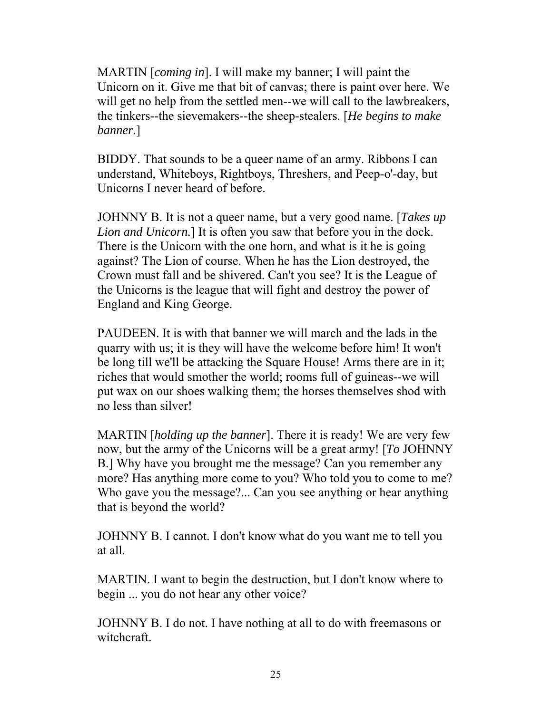MARTIN [*coming in*]. I will make my banner; I will paint the Unicorn on it. Give me that bit of canvas; there is paint over here. We will get no help from the settled men--we will call to the lawbreakers, the tinkers--the sievemakers--the sheep-stealers. [*He begins to make banner.*]

BIDDY. That sounds to be a queer name of an army. Ribbons I can understand, Whiteboys, Rightboys, Threshers, and Peep-o'-day, but Unicorns I never heard of before.

JOHNNY B. It is not a queer name, but a very good name. [*Takes up Lion and Unicorn.*] It is often you saw that before you in the dock. There is the Unicorn with the one horn, and what is it he is going against? The Lion of course. When he has the Lion destroyed, the Crown must fall and be shivered. Can't you see? It is the League of the Unicorns is the league that will fight and destroy the power of England and King George.

PAUDEEN. It is with that banner we will march and the lads in the quarry with us; it is they will have the welcome before him! It won't be long till we'll be attacking the Square House! Arms there are in it; riches that would smother the world; rooms full of guineas--we will put wax on our shoes walking them; the horses themselves shod with no less than silver!

MARTIN [*holding up the banner*]. There it is ready! We are very few now, but the army of the Unicorns will be a great army! [*To* JOHNNY B.] Why have you brought me the message? Can you remember any more? Has anything more come to you? Who told you to come to me? Who gave you the message?... Can you see anything or hear anything that is beyond the world?

JOHNNY B. I cannot. I don't know what do you want me to tell you at all.

MARTIN. I want to begin the destruction, but I don't know where to begin ... you do not hear any other voice?

JOHNNY B. I do not. I have nothing at all to do with freemasons or witchcraft.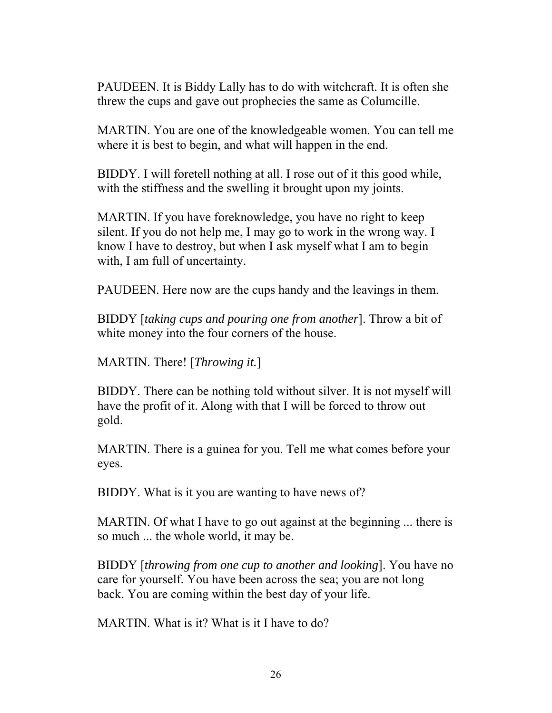PAUDEEN. It is Biddy Lally has to do with witchcraft. It is often she threw the cups and gave out prophecies the same as Columcille.

MARTIN. You are one of the knowledgeable women. You can tell me where it is best to begin, and what will happen in the end.

BIDDY. I will foretell nothing at all. I rose out of it this good while, with the stiffness and the swelling it brought upon my joints.

MARTIN. If you have foreknowledge, you have no right to keep silent. If you do not help me, I may go to work in the wrong way. I know I have to destroy, but when I ask myself what I am to begin with, I am full of uncertainty.

PAUDEEN. Here now are the cups handy and the leavings in them.

BIDDY [*taking cups and pouring one from another*]. Throw a bit of white money into the four corners of the house.

MARTIN. There! [*Throwing it.*]

BIDDY. There can be nothing told without silver. It is not myself will have the profit of it. Along with that I will be forced to throw out gold.

MARTIN. There is a guinea for you. Tell me what comes before your eyes.

BIDDY. What is it you are wanting to have news of?

MARTIN. Of what I have to go out against at the beginning ... there is so much ... the whole world, it may be.

BIDDY [*throwing from one cup to another and looking*]. You have no care for yourself. You have been across the sea; you are not long back. You are coming within the best day of your life.

MARTIN. What is it? What is it I have to do?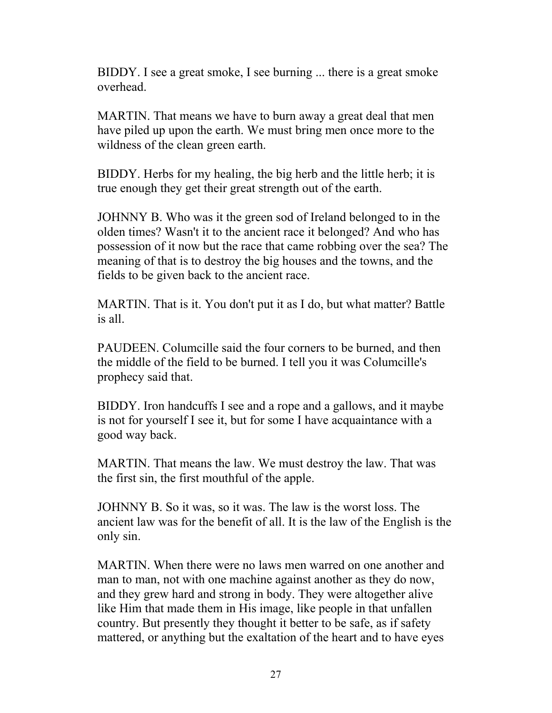BIDDY. I see a great smoke, I see burning ... there is a great smoke overhead.

MARTIN. That means we have to burn away a great deal that men have piled up upon the earth. We must bring men once more to the wildness of the clean green earth.

BIDDY. Herbs for my healing, the big herb and the little herb; it is true enough they get their great strength out of the earth.

JOHNNY B. Who was it the green sod of Ireland belonged to in the olden times? Wasn't it to the ancient race it belonged? And who has possession of it now but the race that came robbing over the sea? The meaning of that is to destroy the big houses and the towns, and the fields to be given back to the ancient race.

MARTIN. That is it. You don't put it as I do, but what matter? Battle is all.

PAUDEEN. Columcille said the four corners to be burned, and then the middle of the field to be burned. I tell you it was Columcille's prophecy said that.

BIDDY. Iron handcuffs I see and a rope and a gallows, and it maybe is not for yourself I see it, but for some I have acquaintance with a good way back.

MARTIN. That means the law. We must destroy the law. That was the first sin, the first mouthful of the apple.

JOHNNY B. So it was, so it was. The law is the worst loss. The ancient law was for the benefit of all. It is the law of the English is the only sin.

MARTIN. When there were no laws men warred on one another and man to man, not with one machine against another as they do now, and they grew hard and strong in body. They were altogether alive like Him that made them in His image, like people in that unfallen country. But presently they thought it better to be safe, as if safety mattered, or anything but the exaltation of the heart and to have eyes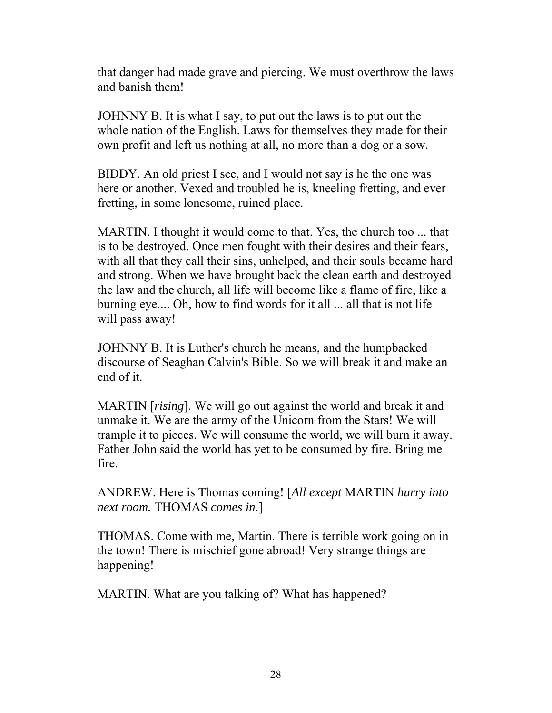that danger had made grave and piercing. We must overthrow the laws and banish them!

JOHNNY B. It is what I say, to put out the laws is to put out the whole nation of the English. Laws for themselves they made for their own profit and left us nothing at all, no more than a dog or a sow.

BIDDY. An old priest I see, and I would not say is he the one was here or another. Vexed and troubled he is, kneeling fretting, and ever fretting, in some lonesome, ruined place.

MARTIN. I thought it would come to that. Yes, the church too ... that is to be destroyed. Once men fought with their desires and their fears, with all that they call their sins, unhelped, and their souls became hard and strong. When we have brought back the clean earth and destroyed the law and the church, all life will become like a flame of fire, like a burning eye.... Oh, how to find words for it all ... all that is not life will pass away!

JOHNNY B. It is Luther's church he means, and the humpbacked discourse of Seaghan Calvin's Bible. So we will break it and make an end of it.

MARTIN [*rising*]. We will go out against the world and break it and unmake it. We are the army of the Unicorn from the Stars! We will trample it to pieces. We will consume the world, we will burn it away. Father John said the world has yet to be consumed by fire. Bring me fire.

ANDREW. Here is Thomas coming! [*All except* MARTIN *hurry into next room.* THOMAS *comes in.*]

THOMAS. Come with me, Martin. There is terrible work going on in the town! There is mischief gone abroad! Very strange things are happening!

MARTIN. What are you talking of? What has happened?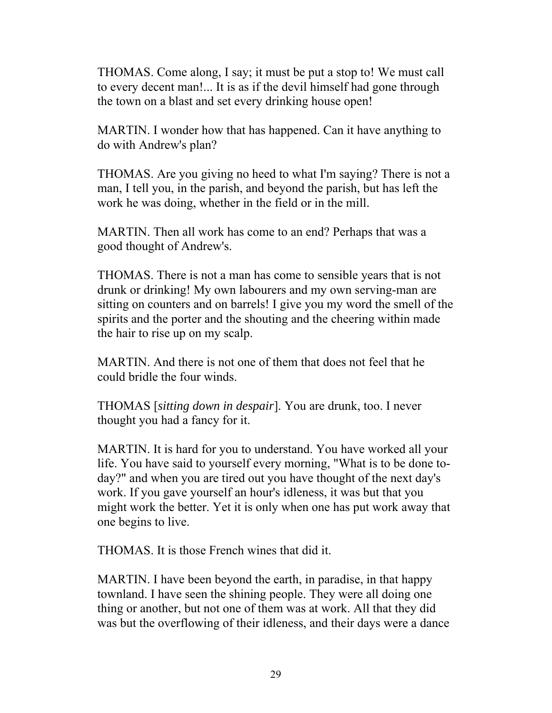THOMAS. Come along, I say; it must be put a stop to! We must call to every decent man!... It is as if the devil himself had gone through the town on a blast and set every drinking house open!

MARTIN. I wonder how that has happened. Can it have anything to do with Andrew's plan?

THOMAS. Are you giving no heed to what I'm saying? There is not a man, I tell you, in the parish, and beyond the parish, but has left the work he was doing, whether in the field or in the mill.

MARTIN. Then all work has come to an end? Perhaps that was a good thought of Andrew's.

THOMAS. There is not a man has come to sensible years that is not drunk or drinking! My own labourers and my own serving-man are sitting on counters and on barrels! I give you my word the smell of the spirits and the porter and the shouting and the cheering within made the hair to rise up on my scalp.

MARTIN. And there is not one of them that does not feel that he could bridle the four winds.

THOMAS [*sitting down in despair*]. You are drunk, too. I never thought you had a fancy for it.

MARTIN. It is hard for you to understand. You have worked all your life. You have said to yourself every morning, "What is to be done today?" and when you are tired out you have thought of the next day's work. If you gave yourself an hour's idleness, it was but that you might work the better. Yet it is only when one has put work away that one begins to live.

THOMAS. It is those French wines that did it.

MARTIN. I have been beyond the earth, in paradise, in that happy townland. I have seen the shining people. They were all doing one thing or another, but not one of them was at work. All that they did was but the overflowing of their idleness, and their days were a dance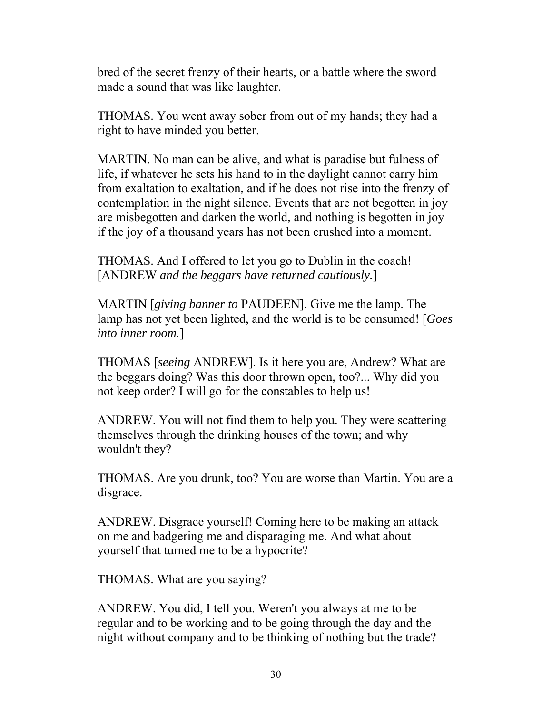bred of the secret frenzy of their hearts, or a battle where the sword made a sound that was like laughter.

THOMAS. You went away sober from out of my hands; they had a right to have minded you better.

MARTIN. No man can be alive, and what is paradise but fulness of life, if whatever he sets his hand to in the daylight cannot carry him from exaltation to exaltation, and if he does not rise into the frenzy of contemplation in the night silence. Events that are not begotten in joy are misbegotten and darken the world, and nothing is begotten in joy if the joy of a thousand years has not been crushed into a moment.

THOMAS. And I offered to let you go to Dublin in the coach! [ANDREW *and the beggars have returned cautiously.*]

MARTIN [*giving banner to* PAUDEEN]. Give me the lamp. The lamp has not yet been lighted, and the world is to be consumed! [*Goes into inner room.*]

THOMAS [*seeing* ANDREW]. Is it here you are, Andrew? What are the beggars doing? Was this door thrown open, too?... Why did you not keep order? I will go for the constables to help us!

ANDREW. You will not find them to help you. They were scattering themselves through the drinking houses of the town; and why wouldn't they?

THOMAS. Are you drunk, too? You are worse than Martin. You are a disgrace.

ANDREW. Disgrace yourself! Coming here to be making an attack on me and badgering me and disparaging me. And what about yourself that turned me to be a hypocrite?

THOMAS. What are you saying?

ANDREW. You did, I tell you. Weren't you always at me to be regular and to be working and to be going through the day and the night without company and to be thinking of nothing but the trade?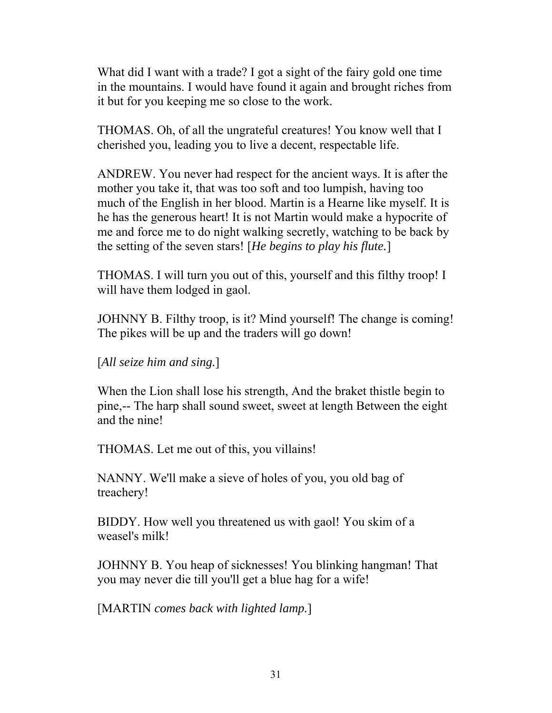What did I want with a trade? I got a sight of the fairy gold one time in the mountains. I would have found it again and brought riches from it but for you keeping me so close to the work.

THOMAS. Oh, of all the ungrateful creatures! You know well that I cherished you, leading you to live a decent, respectable life.

ANDREW. You never had respect for the ancient ways. It is after the mother you take it, that was too soft and too lumpish, having too much of the English in her blood. Martin is a Hearne like myself. It is he has the generous heart! It is not Martin would make a hypocrite of me and force me to do night walking secretly, watching to be back by the setting of the seven stars! [*He begins to play his flute.*]

THOMAS. I will turn you out of this, yourself and this filthy troop! I will have them lodged in gaol.

JOHNNY B. Filthy troop, is it? Mind yourself! The change is coming! The pikes will be up and the traders will go down!

[*All seize him and sing.*]

When the Lion shall lose his strength, And the braket thistle begin to pine,-- The harp shall sound sweet, sweet at length Between the eight and the nine!

THOMAS. Let me out of this, you villains!

NANNY. We'll make a sieve of holes of you, you old bag of treachery!

BIDDY. How well you threatened us with gaol! You skim of a weasel's milk!

JOHNNY B. You heap of sicknesses! You blinking hangman! That you may never die till you'll get a blue hag for a wife!

[MARTIN *comes back with lighted lamp.*]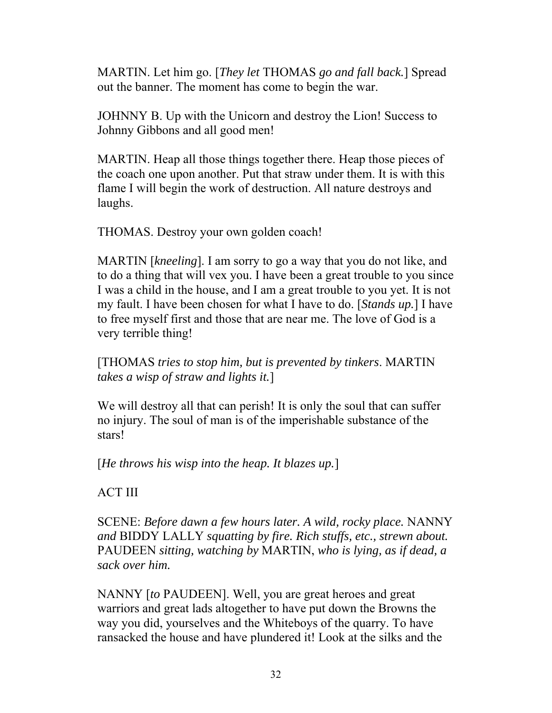MARTIN. Let him go. [*They let* THOMAS *go and fall back.*] Spread out the banner. The moment has come to begin the war.

JOHNNY B. Up with the Unicorn and destroy the Lion! Success to Johnny Gibbons and all good men!

MARTIN. Heap all those things together there. Heap those pieces of the coach one upon another. Put that straw under them. It is with this flame I will begin the work of destruction. All nature destroys and laughs.

THOMAS. Destroy your own golden coach!

MARTIN [*kneeling*]. I am sorry to go a way that you do not like, and to do a thing that will vex you. I have been a great trouble to you since I was a child in the house, and I am a great trouble to you yet. It is not my fault. I have been chosen for what I have to do. [*Stands up.*] I have to free myself first and those that are near me. The love of God is a very terrible thing!

[THOMAS *tries to stop him, but is prevented by tinkers*. MARTIN *takes a wisp of straw and lights it.*]

We will destroy all that can perish! It is only the soul that can suffer no injury. The soul of man is of the imperishable substance of the stars!

[*He throws his wisp into the heap. It blazes up.*]

ACT III

SCENE: *Before dawn a few hours later. A wild, rocky place.* NANNY *and* BIDDY LALLY *squatting by fire. Rich stuffs, etc., strewn about.* PAUDEEN *sitting, watching by* MARTIN, *who is lying, as if dead, a sack over him.*

NANNY [*to* PAUDEEN]. Well, you are great heroes and great warriors and great lads altogether to have put down the Browns the way you did, yourselves and the Whiteboys of the quarry. To have ransacked the house and have plundered it! Look at the silks and the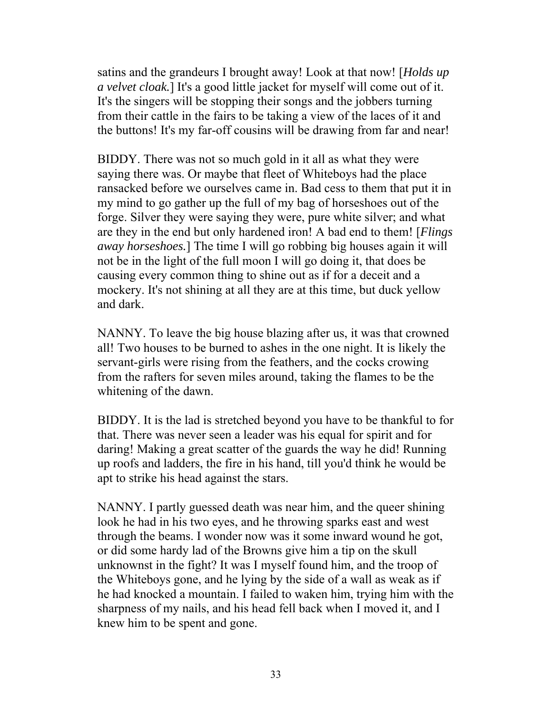satins and the grandeurs I brought away! Look at that now! [*Holds up a velvet cloak.*] It's a good little jacket for myself will come out of it. It's the singers will be stopping their songs and the jobbers turning from their cattle in the fairs to be taking a view of the laces of it and the buttons! It's my far-off cousins will be drawing from far and near!

BIDDY. There was not so much gold in it all as what they were saying there was. Or maybe that fleet of Whiteboys had the place ransacked before we ourselves came in. Bad cess to them that put it in my mind to go gather up the full of my bag of horseshoes out of the forge. Silver they were saying they were, pure white silver; and what are they in the end but only hardened iron! A bad end to them! [*Flings away horseshoes.*] The time I will go robbing big houses again it will not be in the light of the full moon I will go doing it, that does be causing every common thing to shine out as if for a deceit and a mockery. It's not shining at all they are at this time, but duck yellow and dark.

NANNY. To leave the big house blazing after us, it was that crowned all! Two houses to be burned to ashes in the one night. It is likely the servant-girls were rising from the feathers, and the cocks crowing from the rafters for seven miles around, taking the flames to be the whitening of the dawn.

BIDDY. It is the lad is stretched beyond you have to be thankful to for that. There was never seen a leader was his equal for spirit and for daring! Making a great scatter of the guards the way he did! Running up roofs and ladders, the fire in his hand, till you'd think he would be apt to strike his head against the stars.

NANNY. I partly guessed death was near him, and the queer shining look he had in his two eyes, and he throwing sparks east and west through the beams. I wonder now was it some inward wound he got, or did some hardy lad of the Browns give him a tip on the skull unknownst in the fight? It was I myself found him, and the troop of the Whiteboys gone, and he lying by the side of a wall as weak as if he had knocked a mountain. I failed to waken him, trying him with the sharpness of my nails, and his head fell back when I moved it, and I knew him to be spent and gone.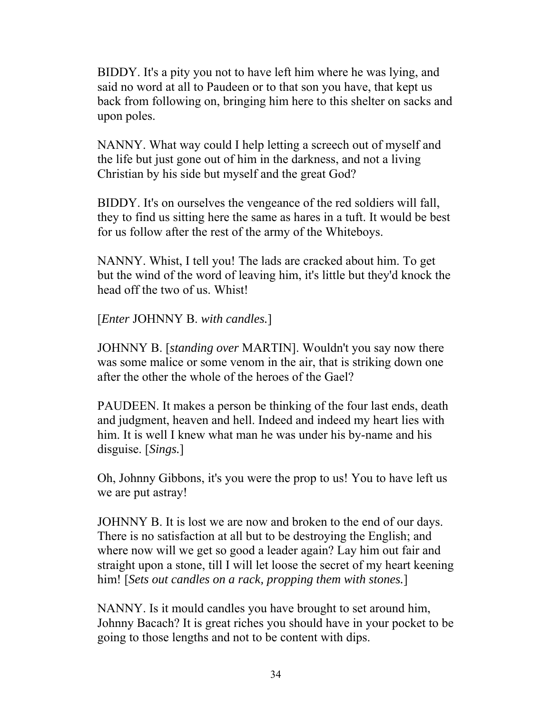BIDDY. It's a pity you not to have left him where he was lying, and said no word at all to Paudeen or to that son you have, that kept us back from following on, bringing him here to this shelter on sacks and upon poles.

NANNY. What way could I help letting a screech out of myself and the life but just gone out of him in the darkness, and not a living Christian by his side but myself and the great God?

BIDDY. It's on ourselves the vengeance of the red soldiers will fall, they to find us sitting here the same as hares in a tuft. It would be best for us follow after the rest of the army of the Whiteboys.

NANNY. Whist, I tell you! The lads are cracked about him. To get but the wind of the word of leaving him, it's little but they'd knock the head off the two of us. Whist!

[*Enter* JOHNNY B. *with candles.*]

JOHNNY B. [*standing over* MARTIN]. Wouldn't you say now there was some malice or some venom in the air, that is striking down one after the other the whole of the heroes of the Gael?

PAUDEEN. It makes a person be thinking of the four last ends, death and judgment, heaven and hell. Indeed and indeed my heart lies with him. It is well I knew what man he was under his by-name and his disguise. [*Sings.*]

Oh, Johnny Gibbons, it's you were the prop to us! You to have left us we are put astray!

JOHNNY B. It is lost we are now and broken to the end of our days. There is no satisfaction at all but to be destroying the English; and where now will we get so good a leader again? Lay him out fair and straight upon a stone, till I will let loose the secret of my heart keening him! [*Sets out candles on a rack, propping them with stones.*]

NANNY. Is it mould candles you have brought to set around him, Johnny Bacach? It is great riches you should have in your pocket to be going to those lengths and not to be content with dips.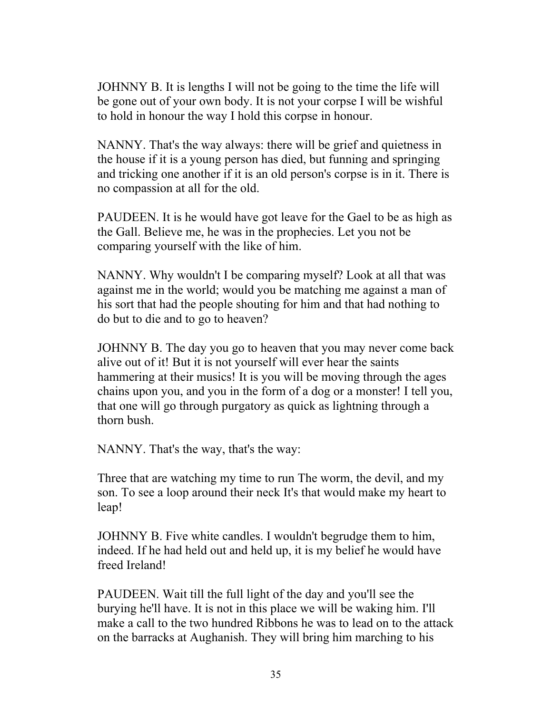JOHNNY B. It is lengths I will not be going to the time the life will be gone out of your own body. It is not your corpse I will be wishful to hold in honour the way I hold this corpse in honour.

NANNY. That's the way always: there will be grief and quietness in the house if it is a young person has died, but funning and springing and tricking one another if it is an old person's corpse is in it. There is no compassion at all for the old.

PAUDEEN. It is he would have got leave for the Gael to be as high as the Gall. Believe me, he was in the prophecies. Let you not be comparing yourself with the like of him.

NANNY. Why wouldn't I be comparing myself? Look at all that was against me in the world; would you be matching me against a man of his sort that had the people shouting for him and that had nothing to do but to die and to go to heaven?

JOHNNY B. The day you go to heaven that you may never come back alive out of it! But it is not yourself will ever hear the saints hammering at their musics! It is you will be moving through the ages chains upon you, and you in the form of a dog or a monster! I tell you, that one will go through purgatory as quick as lightning through a thorn bush.

NANNY. That's the way, that's the way:

Three that are watching my time to run The worm, the devil, and my son. To see a loop around their neck It's that would make my heart to leap!

JOHNNY B. Five white candles. I wouldn't begrudge them to him, indeed. If he had held out and held up, it is my belief he would have freed Ireland!

PAUDEEN. Wait till the full light of the day and you'll see the burying he'll have. It is not in this place we will be waking him. I'll make a call to the two hundred Ribbons he was to lead on to the attack on the barracks at Aughanish. They will bring him marching to his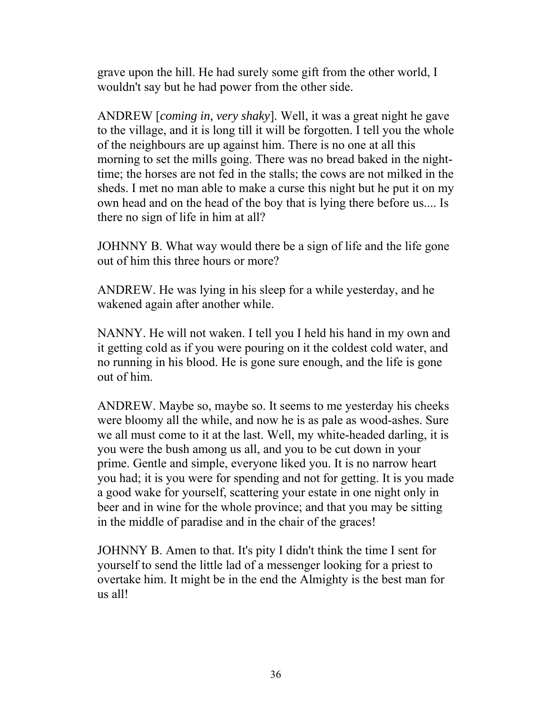grave upon the hill. He had surely some gift from the other world, I wouldn't say but he had power from the other side.

ANDREW [*coming in, very shaky*]. Well, it was a great night he gave to the village, and it is long till it will be forgotten. I tell you the whole of the neighbours are up against him. There is no one at all this morning to set the mills going. There was no bread baked in the nighttime; the horses are not fed in the stalls; the cows are not milked in the sheds. I met no man able to make a curse this night but he put it on my own head and on the head of the boy that is lying there before us.... Is there no sign of life in him at all?

JOHNNY B. What way would there be a sign of life and the life gone out of him this three hours or more?

ANDREW. He was lying in his sleep for a while yesterday, and he wakened again after another while.

NANNY. He will not waken. I tell you I held his hand in my own and it getting cold as if you were pouring on it the coldest cold water, and no running in his blood. He is gone sure enough, and the life is gone out of him.

ANDREW. Maybe so, maybe so. It seems to me yesterday his cheeks were bloomy all the while, and now he is as pale as wood-ashes. Sure we all must come to it at the last. Well, my white-headed darling, it is you were the bush among us all, and you to be cut down in your prime. Gentle and simple, everyone liked you. It is no narrow heart you had; it is you were for spending and not for getting. It is you made a good wake for yourself, scattering your estate in one night only in beer and in wine for the whole province; and that you may be sitting in the middle of paradise and in the chair of the graces!

JOHNNY B. Amen to that. It's pity I didn't think the time I sent for yourself to send the little lad of a messenger looking for a priest to overtake him. It might be in the end the Almighty is the best man for us all!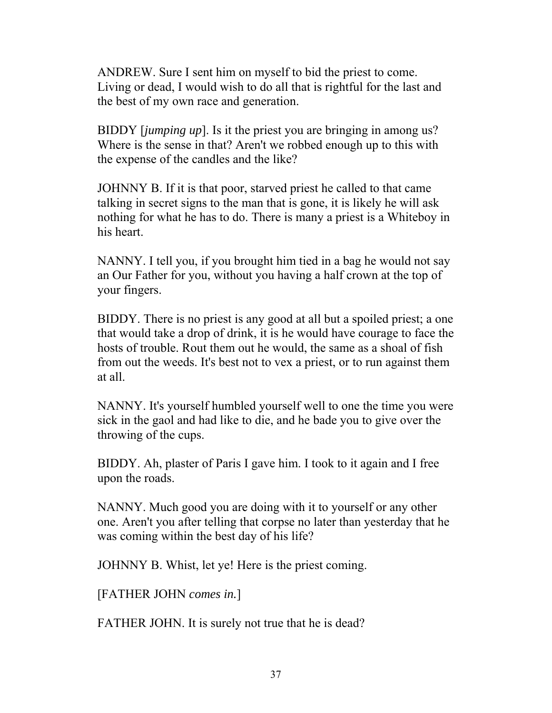ANDREW. Sure I sent him on myself to bid the priest to come. Living or dead, I would wish to do all that is rightful for the last and the best of my own race and generation.

BIDDY [*jumping up*]. Is it the priest you are bringing in among us? Where is the sense in that? Aren't we robbed enough up to this with the expense of the candles and the like?

JOHNNY B. If it is that poor, starved priest he called to that came talking in secret signs to the man that is gone, it is likely he will ask nothing for what he has to do. There is many a priest is a Whiteboy in his heart.

NANNY. I tell you, if you brought him tied in a bag he would not say an Our Father for you, without you having a half crown at the top of your fingers.

BIDDY. There is no priest is any good at all but a spoiled priest; a one that would take a drop of drink, it is he would have courage to face the hosts of trouble. Rout them out he would, the same as a shoal of fish from out the weeds. It's best not to vex a priest, or to run against them at all.

NANNY. It's yourself humbled yourself well to one the time you were sick in the gaol and had like to die, and he bade you to give over the throwing of the cups.

BIDDY. Ah, plaster of Paris I gave him. I took to it again and I free upon the roads.

NANNY. Much good you are doing with it to yourself or any other one. Aren't you after telling that corpse no later than yesterday that he was coming within the best day of his life?

JOHNNY B. Whist, let ye! Here is the priest coming.

[FATHER JOHN *comes in.*]

FATHER JOHN. It is surely not true that he is dead?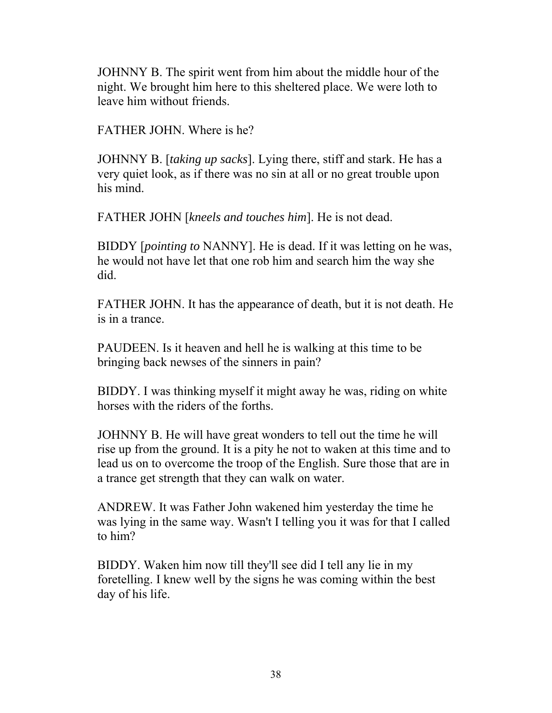JOHNNY B. The spirit went from him about the middle hour of the night. We brought him here to this sheltered place. We were loth to leave him without friends.

FATHER JOHN. Where is he?

JOHNNY B. [*taking up sacks*]. Lying there, stiff and stark. He has a very quiet look, as if there was no sin at all or no great trouble upon his mind.

FATHER JOHN [*kneels and touches him*]. He is not dead.

BIDDY [*pointing to* NANNY]. He is dead. If it was letting on he was, he would not have let that one rob him and search him the way she did.

FATHER JOHN. It has the appearance of death, but it is not death. He is in a trance.

PAUDEEN. Is it heaven and hell he is walking at this time to be bringing back newses of the sinners in pain?

BIDDY. I was thinking myself it might away he was, riding on white horses with the riders of the forths.

JOHNNY B. He will have great wonders to tell out the time he will rise up from the ground. It is a pity he not to waken at this time and to lead us on to overcome the troop of the English. Sure those that are in a trance get strength that they can walk on water.

ANDREW. It was Father John wakened him yesterday the time he was lying in the same way. Wasn't I telling you it was for that I called to him?

BIDDY. Waken him now till they'll see did I tell any lie in my foretelling. I knew well by the signs he was coming within the best day of his life.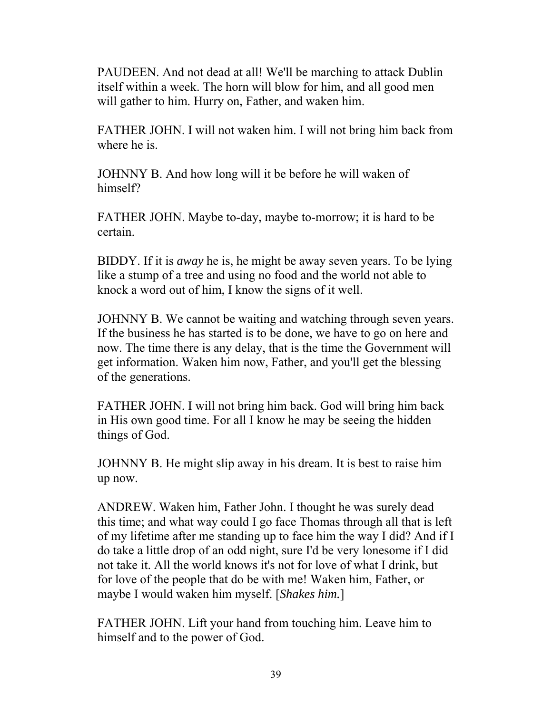PAUDEEN. And not dead at all! We'll be marching to attack Dublin itself within a week. The horn will blow for him, and all good men will gather to him. Hurry on, Father, and waken him.

FATHER JOHN. I will not waken him. I will not bring him back from where he is.

JOHNNY B. And how long will it be before he will waken of himself?

FATHER JOHN. Maybe to-day, maybe to-morrow; it is hard to be certain.

BIDDY. If it is *away* he is, he might be away seven years. To be lying like a stump of a tree and using no food and the world not able to knock a word out of him, I know the signs of it well.

JOHNNY B. We cannot be waiting and watching through seven years. If the business he has started is to be done, we have to go on here and now. The time there is any delay, that is the time the Government will get information. Waken him now, Father, and you'll get the blessing of the generations.

FATHER JOHN. I will not bring him back. God will bring him back in His own good time. For all I know he may be seeing the hidden things of God.

JOHNNY B. He might slip away in his dream. It is best to raise him up now.

ANDREW. Waken him, Father John. I thought he was surely dead this time; and what way could I go face Thomas through all that is left of my lifetime after me standing up to face him the way I did? And if I do take a little drop of an odd night, sure I'd be very lonesome if I did not take it. All the world knows it's not for love of what I drink, but for love of the people that do be with me! Waken him, Father, or maybe I would waken him myself. [*Shakes him.*]

FATHER JOHN. Lift your hand from touching him. Leave him to himself and to the power of God.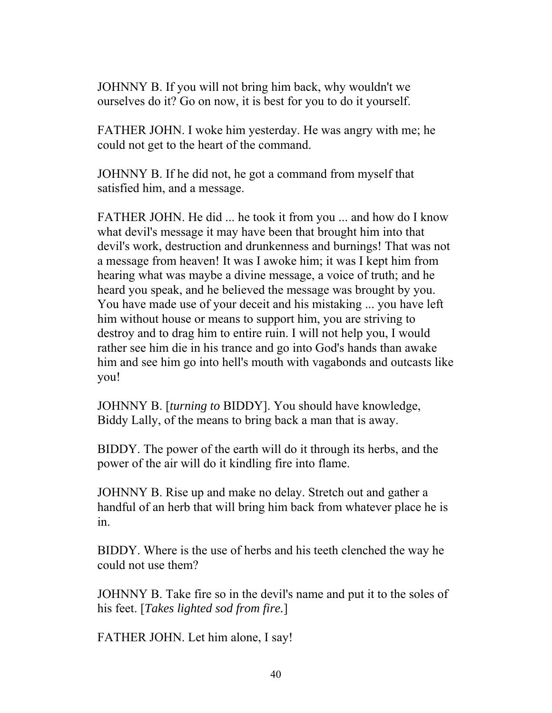JOHNNY B. If you will not bring him back, why wouldn't we ourselves do it? Go on now, it is best for you to do it yourself.

FATHER JOHN. I woke him yesterday. He was angry with me; he could not get to the heart of the command.

JOHNNY B. If he did not, he got a command from myself that satisfied him, and a message.

FATHER JOHN. He did ... he took it from you ... and how do I know what devil's message it may have been that brought him into that devil's work, destruction and drunkenness and burnings! That was not a message from heaven! It was I awoke him; it was I kept him from hearing what was maybe a divine message, a voice of truth; and he heard you speak, and he believed the message was brought by you. You have made use of your deceit and his mistaking ... you have left him without house or means to support him, you are striving to destroy and to drag him to entire ruin. I will not help you, I would rather see him die in his trance and go into God's hands than awake him and see him go into hell's mouth with vagabonds and outcasts like you!

JOHNNY B. [*turning to* BIDDY]. You should have knowledge, Biddy Lally, of the means to bring back a man that is away.

BIDDY. The power of the earth will do it through its herbs, and the power of the air will do it kindling fire into flame.

JOHNNY B. Rise up and make no delay. Stretch out and gather a handful of an herb that will bring him back from whatever place he is in.

BIDDY. Where is the use of herbs and his teeth clenched the way he could not use them?

JOHNNY B. Take fire so in the devil's name and put it to the soles of his feet. [*Takes lighted sod from fire.*]

FATHER JOHN. Let him alone, I say!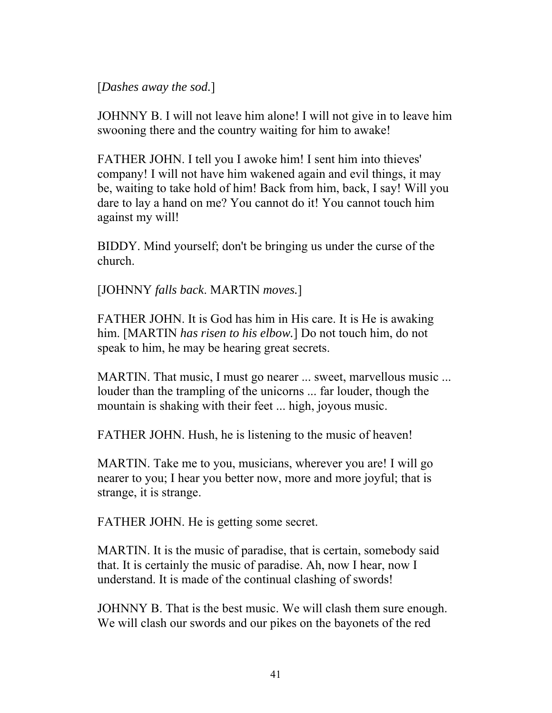[*Dashes away the sod.*]

JOHNNY B. I will not leave him alone! I will not give in to leave him swooning there and the country waiting for him to awake!

FATHER JOHN. I tell you I awoke him! I sent him into thieves' company! I will not have him wakened again and evil things, it may be, waiting to take hold of him! Back from him, back, I say! Will you dare to lay a hand on me? You cannot do it! You cannot touch him against my will!

BIDDY. Mind yourself; don't be bringing us under the curse of the church.

[JOHNNY *falls back*. MARTIN *moves.*]

FATHER JOHN. It is God has him in His care. It is He is awaking him. [MARTIN *has risen to his elbow.*] Do not touch him, do not speak to him, he may be hearing great secrets.

MARTIN. That music, I must go nearer ... sweet, marvellous music ... louder than the trampling of the unicorns ... far louder, though the mountain is shaking with their feet ... high, joyous music.

FATHER JOHN. Hush, he is listening to the music of heaven!

MARTIN. Take me to you, musicians, wherever you are! I will go nearer to you; I hear you better now, more and more joyful; that is strange, it is strange.

FATHER JOHN. He is getting some secret.

MARTIN. It is the music of paradise, that is certain, somebody said that. It is certainly the music of paradise. Ah, now I hear, now I understand. It is made of the continual clashing of swords!

JOHNNY B. That is the best music. We will clash them sure enough. We will clash our swords and our pikes on the bayonets of the red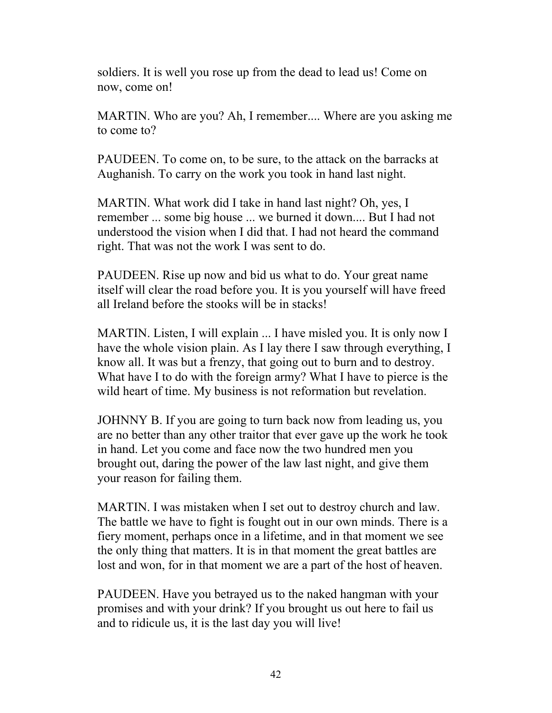soldiers. It is well you rose up from the dead to lead us! Come on now, come on!

MARTIN. Who are you? Ah, I remember.... Where are you asking me to come to?

PAUDEEN. To come on, to be sure, to the attack on the barracks at Aughanish. To carry on the work you took in hand last night.

MARTIN. What work did I take in hand last night? Oh, yes, I remember ... some big house ... we burned it down.... But I had not understood the vision when I did that. I had not heard the command right. That was not the work I was sent to do.

PAUDEEN. Rise up now and bid us what to do. Your great name itself will clear the road before you. It is you yourself will have freed all Ireland before the stooks will be in stacks!

MARTIN. Listen, I will explain ... I have misled you. It is only now I have the whole vision plain. As I lay there I saw through everything, I know all. It was but a frenzy, that going out to burn and to destroy. What have I to do with the foreign army? What I have to pierce is the wild heart of time. My business is not reformation but revelation.

JOHNNY B. If you are going to turn back now from leading us, you are no better than any other traitor that ever gave up the work he took in hand. Let you come and face now the two hundred men you brought out, daring the power of the law last night, and give them your reason for failing them.

MARTIN. I was mistaken when I set out to destroy church and law. The battle we have to fight is fought out in our own minds. There is a fiery moment, perhaps once in a lifetime, and in that moment we see the only thing that matters. It is in that moment the great battles are lost and won, for in that moment we are a part of the host of heaven.

PAUDEEN. Have you betrayed us to the naked hangman with your promises and with your drink? If you brought us out here to fail us and to ridicule us, it is the last day you will live!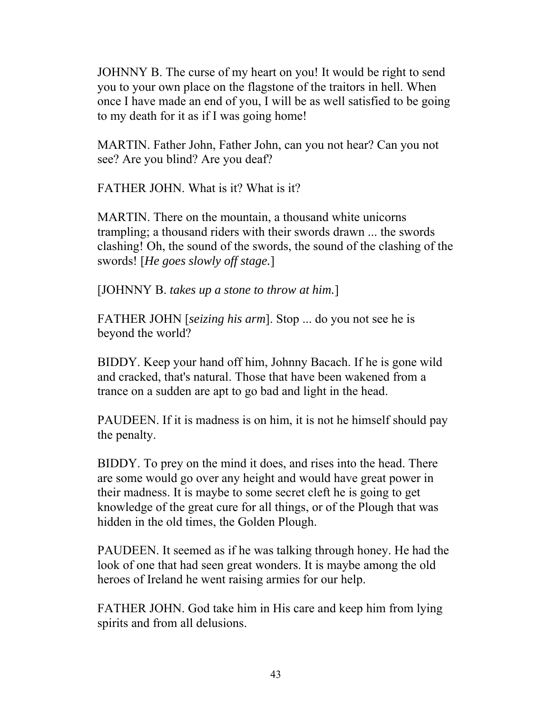JOHNNY B. The curse of my heart on you! It would be right to send you to your own place on the flagstone of the traitors in hell. When once I have made an end of you, I will be as well satisfied to be going to my death for it as if I was going home!

MARTIN. Father John, Father John, can you not hear? Can you not see? Are you blind? Are you deaf?

FATHER JOHN. What is it? What is it?

MARTIN. There on the mountain, a thousand white unicorns trampling; a thousand riders with their swords drawn ... the swords clashing! Oh, the sound of the swords, the sound of the clashing of the swords! [*He goes slowly off stage.*]

[JOHNNY B. *takes up a stone to throw at him.*]

FATHER JOHN [*seizing his arm*]. Stop ... do you not see he is beyond the world?

BIDDY. Keep your hand off him, Johnny Bacach. If he is gone wild and cracked, that's natural. Those that have been wakened from a trance on a sudden are apt to go bad and light in the head.

PAUDEEN. If it is madness is on him, it is not he himself should pay the penalty.

BIDDY. To prey on the mind it does, and rises into the head. There are some would go over any height and would have great power in their madness. It is maybe to some secret cleft he is going to get knowledge of the great cure for all things, or of the Plough that was hidden in the old times, the Golden Plough.

PAUDEEN. It seemed as if he was talking through honey. He had the look of one that had seen great wonders. It is maybe among the old heroes of Ireland he went raising armies for our help.

FATHER JOHN. God take him in His care and keep him from lying spirits and from all delusions.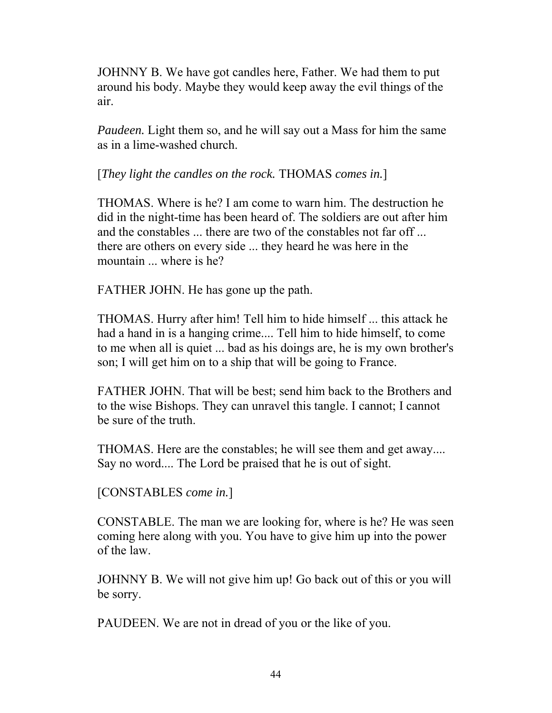JOHNNY B. We have got candles here, Father. We had them to put around his body. Maybe they would keep away the evil things of the air.

*Paudeen.* Light them so, and he will say out a Mass for him the same as in a lime-washed church.

[*They light the candles on the rock.* THOMAS *comes in.*]

THOMAS. Where is he? I am come to warn him. The destruction he did in the night-time has been heard of. The soldiers are out after him and the constables ... there are two of the constables not far off ... there are others on every side ... they heard he was here in the mountain ... where is he?

FATHER JOHN. He has gone up the path.

THOMAS. Hurry after him! Tell him to hide himself ... this attack he had a hand in is a hanging crime.... Tell him to hide himself, to come to me when all is quiet ... bad as his doings are, he is my own brother's son; I will get him on to a ship that will be going to France.

FATHER JOHN. That will be best; send him back to the Brothers and to the wise Bishops. They can unravel this tangle. I cannot; I cannot be sure of the truth.

THOMAS. Here are the constables; he will see them and get away.... Say no word.... The Lord be praised that he is out of sight.

```
[CONSTABLES come in.]
```
CONSTABLE. The man we are looking for, where is he? He was seen coming here along with you. You have to give him up into the power of the law.

JOHNNY B. We will not give him up! Go back out of this or you will be sorry.

PAUDEEN. We are not in dread of you or the like of you.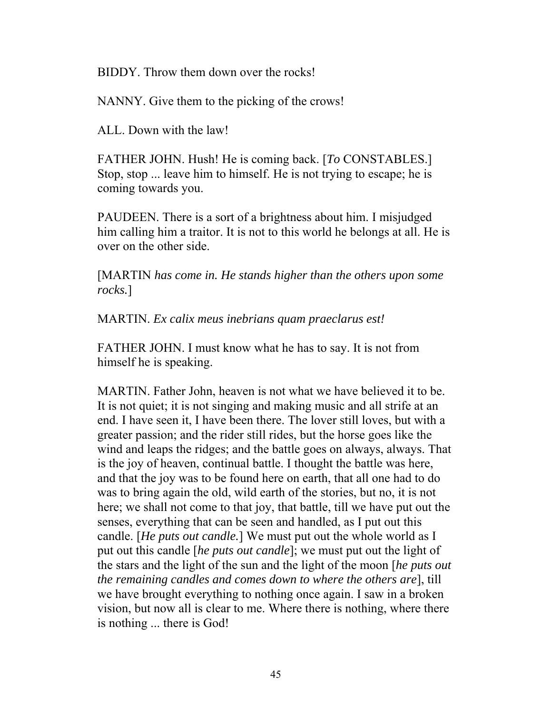BIDDY. Throw them down over the rocks!

NANNY. Give them to the picking of the crows!

ALL. Down with the law!

FATHER JOHN. Hush! He is coming back. [*To* CONSTABLES.] Stop, stop ... leave him to himself. He is not trying to escape; he is coming towards you.

PAUDEEN. There is a sort of a brightness about him. I misjudged him calling him a traitor. It is not to this world he belongs at all. He is over on the other side.

[MARTIN *has come in. He stands higher than the others upon some rocks.*]

MARTIN. *Ex calix meus inebrians quam praeclarus est!*

FATHER JOHN. I must know what he has to say. It is not from himself he is speaking.

MARTIN. Father John, heaven is not what we have believed it to be. It is not quiet; it is not singing and making music and all strife at an end. I have seen it, I have been there. The lover still loves, but with a greater passion; and the rider still rides, but the horse goes like the wind and leaps the ridges; and the battle goes on always, always. That is the joy of heaven, continual battle. I thought the battle was here, and that the joy was to be found here on earth, that all one had to do was to bring again the old, wild earth of the stories, but no, it is not here; we shall not come to that joy, that battle, till we have put out the senses, everything that can be seen and handled, as I put out this candle. [*He puts out candle.*] We must put out the whole world as I put out this candle [*he puts out candle*]; we must put out the light of the stars and the light of the sun and the light of the moon [*he puts out the remaining candles and comes down to where the others are*], till we have brought everything to nothing once again. I saw in a broken vision, but now all is clear to me. Where there is nothing, where there is nothing ... there is God!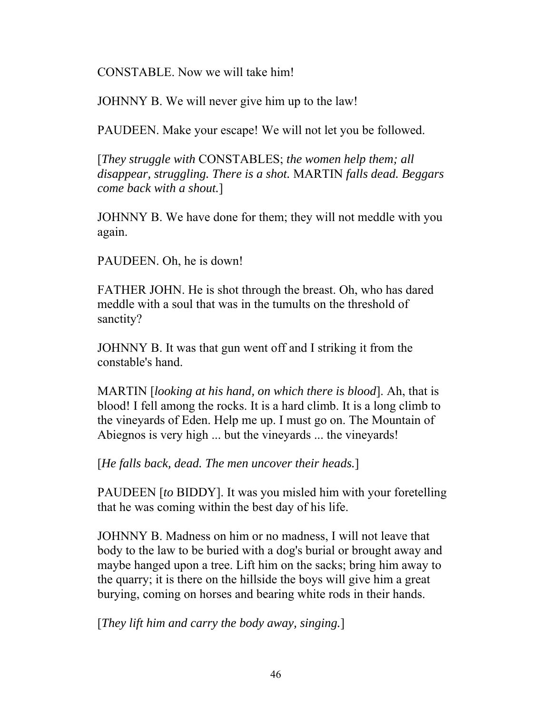CONSTABLE. Now we will take him!

JOHNNY B. We will never give him up to the law!

PAUDEEN. Make your escape! We will not let you be followed.

[*They struggle with* CONSTABLES; *the women help them; all disappear, struggling. There is a shot.* MARTIN *falls dead. Beggars come back with a shout.*]

JOHNNY B. We have done for them; they will not meddle with you again.

PAUDEEN. Oh, he is down!

FATHER JOHN. He is shot through the breast. Oh, who has dared meddle with a soul that was in the tumults on the threshold of sanctity?

JOHNNY B. It was that gun went off and I striking it from the constable's hand.

MARTIN [*looking at his hand, on which there is blood*]. Ah, that is blood! I fell among the rocks. It is a hard climb. It is a long climb to the vineyards of Eden. Help me up. I must go on. The Mountain of Abiegnos is very high ... but the vineyards ... the vineyards!

[*He falls back, dead. The men uncover their heads.*]

PAUDEEN [*to* BIDDY]. It was you misled him with your foretelling that he was coming within the best day of his life.

JOHNNY B. Madness on him or no madness, I will not leave that body to the law to be buried with a dog's burial or brought away and maybe hanged upon a tree. Lift him on the sacks; bring him away to the quarry; it is there on the hillside the boys will give him a great burying, coming on horses and bearing white rods in their hands.

[*They lift him and carry the body away, singing.*]